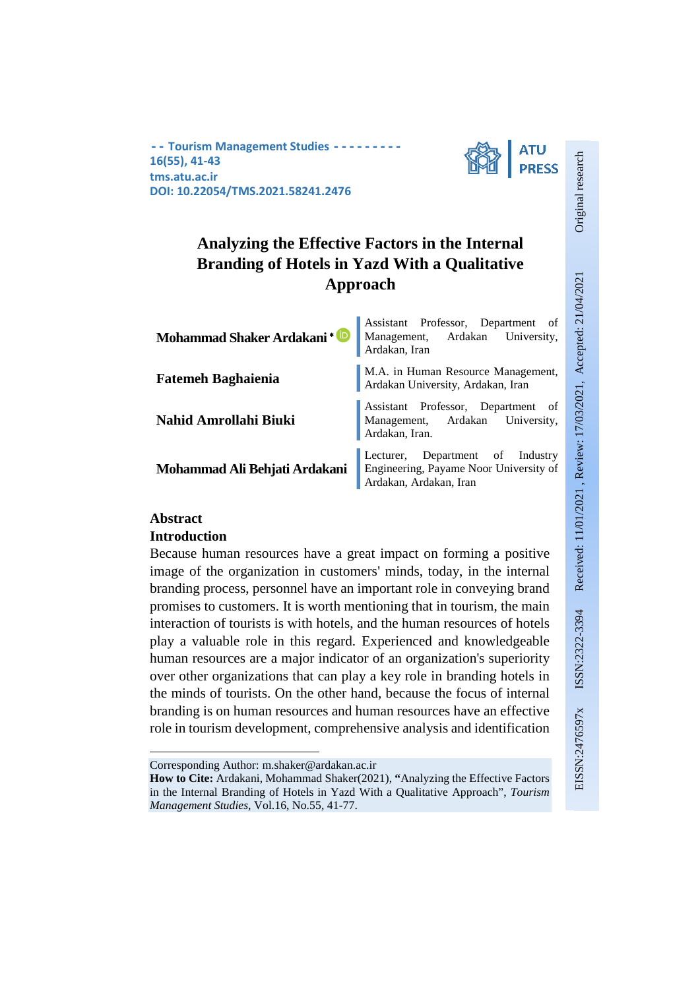**-- Tourism Management Studies --------- 16(55), 41-43 tms.atu.ac.ir DOI: 10.22054/TMS.2021.58241.2476**



# **Analyzing the Effective Factors in the Internal Branding of Hotels in Yazd With a Qualitative Approach**

| Mohammad Shaker Ardakani <sup>+</sup> | Assistant Professor, Department of<br>Management, Ardakan University,<br>Ardakan, Iran               |  |  |  |  |
|---------------------------------------|------------------------------------------------------------------------------------------------------|--|--|--|--|
| <b>Fatemeh Baghaienia</b>             | M.A. in Human Resource Management,<br>Ardakan University, Ardakan, Iran                              |  |  |  |  |
| Nahid Amrollahi Biuki                 | Assistant Professor, Department of<br>Management, Ardakan University,<br>Ardakan, Iran.              |  |  |  |  |
| Mohammad Ali Behjati Ardakani         | Lecturer, Department of Industry<br>Engineering, Payame Noor University of<br>Ardakan, Ardakan, Iran |  |  |  |  |

## **Abstract**

**.** 

### **Introduction**

Because human resources have a great impact on forming a positive image of the organization in customers' minds, today, in the internal branding process, personnel have an important role in conveying brand promises to customers. It is worth mentioning that in tourism, the main interaction of tourists is with hotels, and the human resources of hotels play a valuable role in this regard. Experienced and knowledgeable human resources are a major indicator of an organization's superiority over other organizations that can play a key role in branding hotels in the minds of tourists. On the other hand, because the focus of internal branding is on human resources and human resources have an effective role in tourism development, comprehensive analysis and identification

Original research

Corresponding Author: m.shaker@ardakan.ac.ir

**How to Cite:** Ardakani, Mohammad Shaker(2021), **"**Analyzing the Effective Factors in the Internal Branding of Hotels in Yazd With a Qualitative Approach", *Tourism Management Studies*, Vol.16, No.55, 41-77.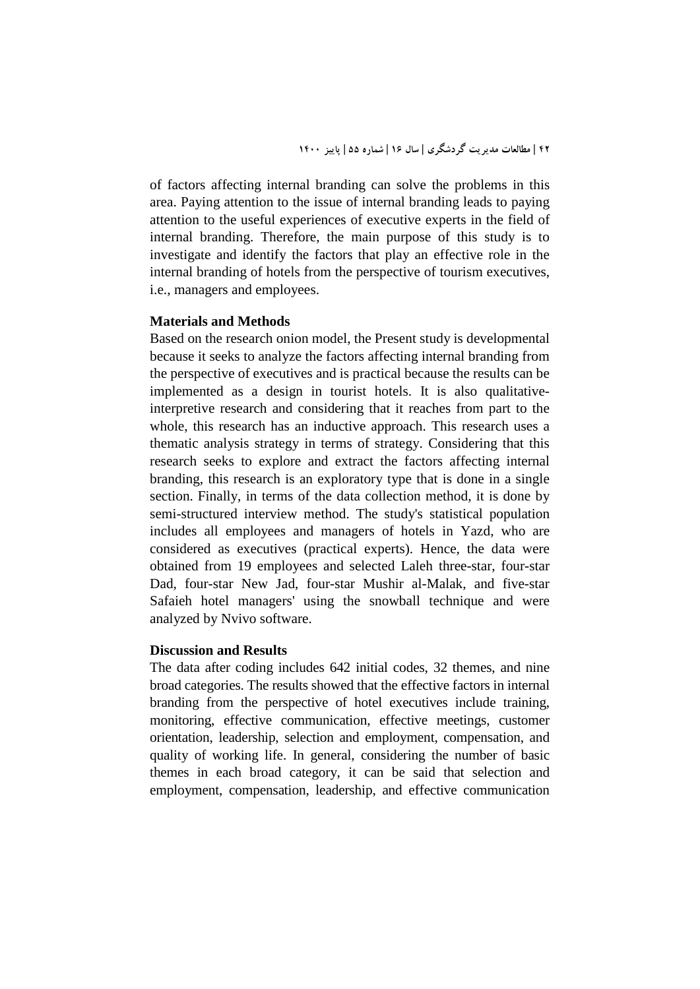of factors affecting internal branding can solve the problems in this area. Paying attention to the issue of internal branding leads to paying attention to the useful experiences of executive experts in the field of internal branding. Therefore, the main purpose of this study is to investigate and identify the factors that play an effective role in the internal branding of hotels from the perspective of tourism executives, i.e., managers and employees.

### **Materials and Methods**

Based on the research onion model, the Present study is developmental because it seeks to analyze the factors affecting internal branding from the perspective of executives and is practical because the results can be implemented as a design in tourist hotels. It is also qualitativeinterpretive research and considering that it reaches from part to the whole, this research has an inductive approach. This research uses a thematic analysis strategy in terms of strategy. Considering that this research seeks to explore and extract the factors affecting internal branding, this research is an exploratory type that is done in a single section. Finally, in terms of the data collection method, it is done by semi-structured interview method. The study's statistical population includes all employees and managers of hotels in Yazd, who are considered as executives (practical experts). Hence, the data were obtained from 19 employees and selected Laleh three-star, four-star Dad, four-star New Jad, four-star Mushir al-Malak, and five-star Safaieh hotel managers' using the snowball technique and were analyzed by Nvivo software.

### **Discussion and Results**

The data after coding includes 642 initial codes, 32 themes, and nine broad categories. The results showed that the effective factors in internal branding from the perspective of hotel executives include training, monitoring, effective communication, effective meetings, customer orientation, leadership, selection and employment, compensation, and quality of working life. In general, considering the number of basic themes in each broad category, it can be said that selection and employment, compensation, leadership, and effective communication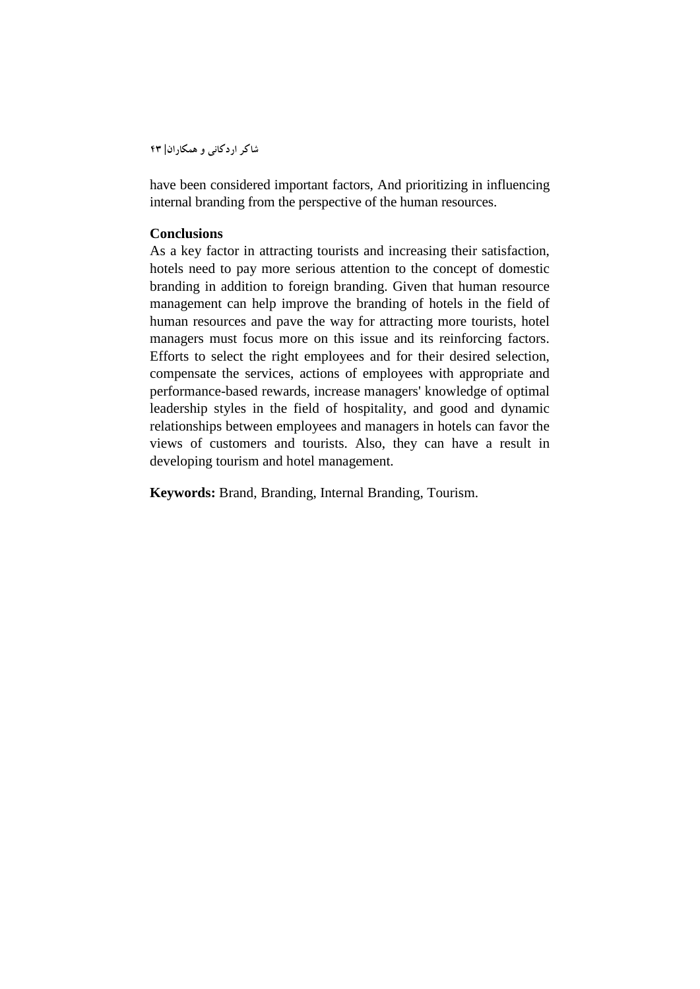**شاکر اردکانی و همکاران| 43**

have been considered important factors, And prioritizing in influencing internal branding from the perspective of the human resources.

### **Conclusions**

As a key factor in attracting tourists and increasing their satisfaction, hotels need to pay more serious attention to the concept of domestic branding in addition to foreign branding. Given that human resource management can help improve the branding of hotels in the field of human resources and pave the way for attracting more tourists, hotel managers must focus more on this issue and its reinforcing factors. Efforts to select the right employees and for their desired selection, compensate the services, actions of employees with appropriate and performance-based rewards, increase managers' knowledge of optimal leadership styles in the field of hospitality, and good and dynamic relationships between employees and managers in hotels can favor the views of customers and tourists. Also, they can have a result in developing tourism and hotel management.

**Keywords:** Brand, Branding, Internal Branding, Tourism.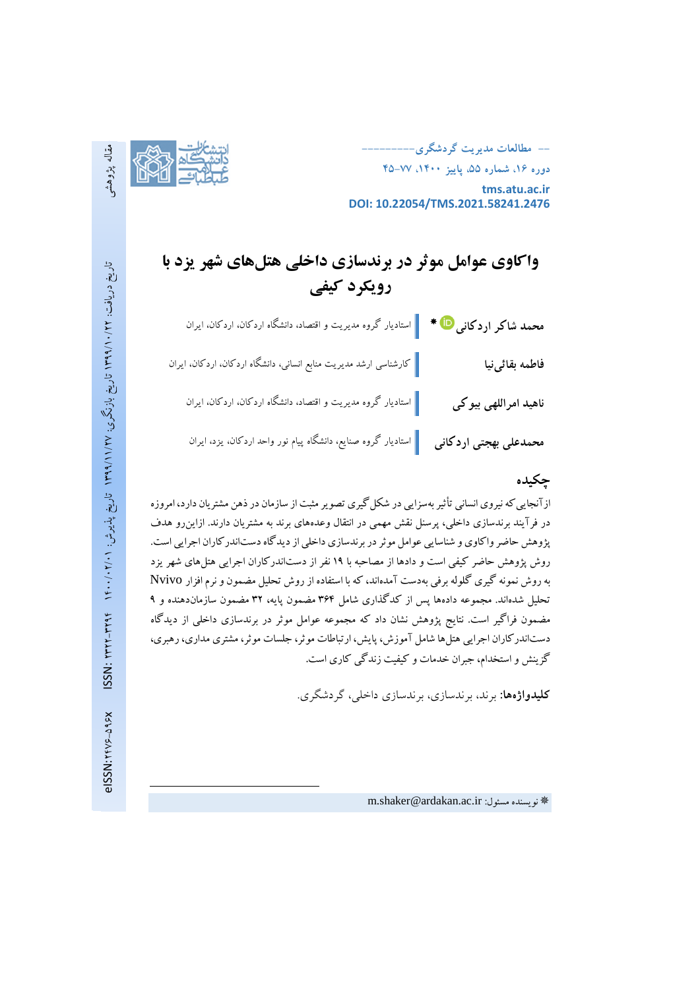**-- مطالعات مدیریت گردشگري--------- دوره ،16 شماره ،55 پاییز ،1400 45-77 tms.atu.ac.ir DOI: 10.22054/TMS.2021.58241.2476**



# **واکاوي عوامل موثر در برندسازي داخلی هتلهاي شهر یزد با رویکرد کیفی**

|                                     | <mark>محمد شاکر اردکانی <sup>10</sup> * ∫</mark> استادیار گروه مدیریت و اقتصاد، دانشگاه اردکان، اردکان، ایران |
|-------------------------------------|---------------------------------------------------------------------------------------------------------------|
| فاطمه بقائىنيا                      | گارشناسی ارشد مدیریت منابع انسانی، دانشگاه اردکان، اردکان، ایران                                              |
| ناهی <mark>د</mark> امراللهی بیو کی | استادیار گروه مدیریت و اقتصاد، دانشگاه اردکان، اردکان، ایران                                                  |
| محمدعلی بهجتی اردکانی               | استادیار گروه صنایع، دانشگاه پیام نور واحد اردکان، یزد، ایران                                                 |

## **چکیده**

ازآنجایی که نیروی انسانی تأثیر بهسزایی در شکل گیری تصویر مثبت از سازمان در ذهن مشتریان دارد، امروزه در فرآیند برندسازي داخلی، پرسنل نقش مهمی در انتقال وعدههاي برند به مشتریان دارند. ازاینرو هدف پژوهش حاضر واکاويو شناسایی عوامل موثر در برندسازي داخلی از دیدگاهدستاندرکاران اجرایی است. روش پژوهش حاضر کیفی است و دادها از مصاحبه با ۱۹ نفر از دستاندرکاران اجرایی هتل های شهر یزد به روش نمونه گیري گلوله برفی بهدست آمدهاند، کهبا استفاده از روش تحلیل مضمون و نرم افزار Nvivo تحلیل شدهاند. مجموعه دادهها پس از کدگذاري شامل 364 مضمون پایه، 32 مضمون سازماندهنده و 9 مضمون فراگیر است. نتایج پژوهش نشان داد که مجموعه عوامل موثر در برندسازي داخلی از دیدگاه دستاندرکاران اجرایی هتلها شامل آموزش، پایش، ارتباطات موثر، جلسات موثر، مشتري مداري،رهبري، گزینش و استخدام، جبران خدمات و کیفیت زندگی کاري است.

**کلیدواژهها:** برند، برندسازي، برندسازي داخلی، گردشگري.

**.**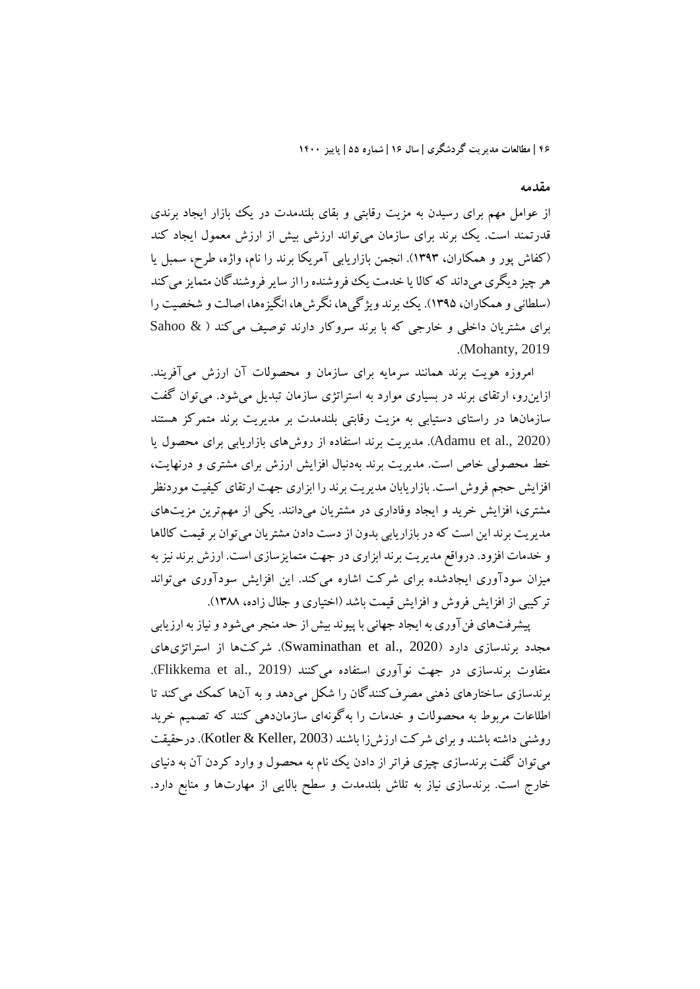### **مقدمه**

از عوامل مهم براي رسیدن به مزیت رقابتی و بقاي بلندمدت در یک بازار ایجاد برندي قدرتمند است. یک برند برای سازمان میتواند ارزشی بیش از ارزش معمول ایجاد کند (کفاش پور و همکاران، 1393). انجمن بازاریابی آمریکا برند را نام، واژه، طرح، سمبل یا هر چیز دیگری میداند که کالا یا خدمت یک فوروشنده را از سایر فروشندگان متمایز می کند (سلطانی و همکاران، 1395). یک برند ویژگیها، نگرشها، انگیزهها، اصالت و شخصیت را براي مشتریان داخلی و خارجی که با برند سروکار دارند توصیف میکند ( & Sahoo .(Mohanty, 2019

امروزه هویت برند همانند سرمایه براي سازمان و محصولات آن ارزش میآفریند. ازاینرو، ارتقاي برند در بسیاري موارد به استراتژي سازمان تبدیل میشود. میتوان گفت سازمانها در راستاي دستیابی به مزیت رقابتی بلندمدت بر مدیریت برند متمرکز هستند (Adamu et al., 2020). مدیریت برند استفاده از روشهای بازاریابی برای محصول یا خط محصولی خاص است. مدیریت برند بهدنبال افزایش ارزش براي مشتري و درنهایت، افزایش حجم فروش است. بازاریابان مدیریت برند را ابزاري جهت ارتقاي کیفیت موردنظر مشتري، افزایش خرید و ایجاد وفاداري در مشتریان میدانند. یکی از مهمترین مزیتهاي مدیریت برند این است که در بازاریابی بدون از دست دادن مشتریان میتوان بر قیمت کالاها و خدمات افزود. درواقع مدیریت برند ابزاري در جهت متمایزسازي است. ارزش برند نیزبه میزان سودآوري ایجادشده براي شرکت اشاره میکند. این افزایش سودآوري میتواند ترکیبی از افزایش فروش و افزایش قیمت باشد (اختیاري و جلال زاده، 1388).

پیشرفتهاي فنآوري به ایجاد جهانی با پیوند بیش از حد منجر میشودو نیازبه ارزیابی مجدد برندسازي دارد (2020 .,al et Swaminathan(. شرکتها از استراتژيهاي متفاوت برندسازي در جهت نوآوري استفاده ميکنند (Flikkema et al., 2019). برندسازي ساختارهاي ذهنی مصرفکنندگان را شکل میدهد و به آنها کمک میکند تا اطلاعات مربوط به محصولات و خدمات را بهگونهاي سازماندهی کنند که تصمیم خرید روشنی داشته باشند و براي شرکت ارزشزا باشند (2003 ,Keller & Kotler(. درحقیقت میتوان گفت برندسازي چیزي فراتر از دادن یک نام به محصول و وارد کردن آن به دنیاي خارج است. برندسازي نیاز به تلاش بلندمدت و سطح بالایی از مهارتها و منابع دارد.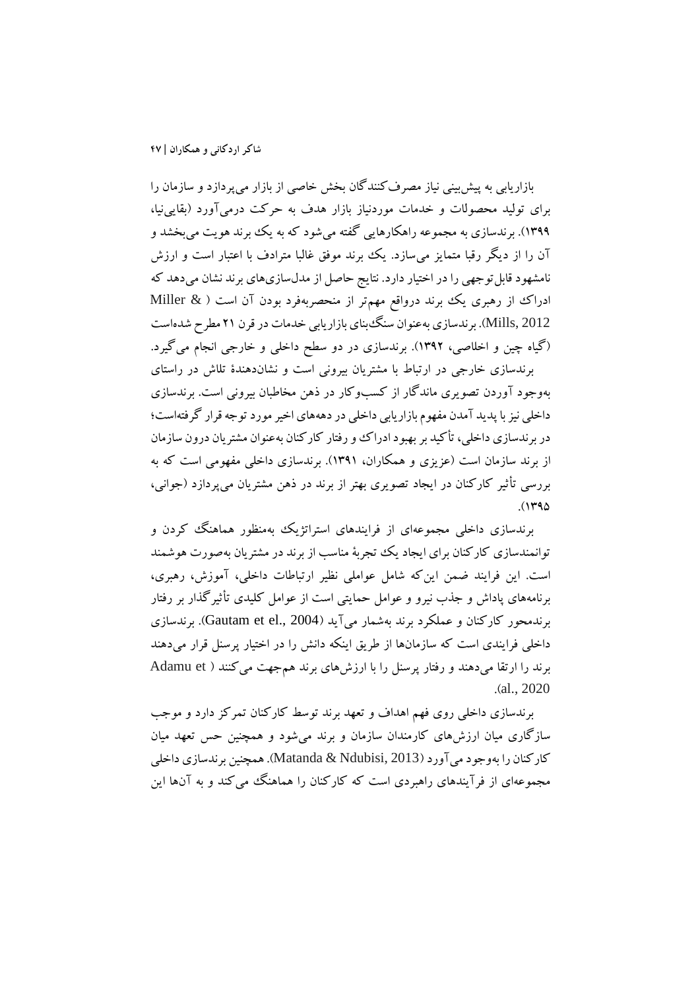بازاریابی به پیشبینی نیاز مصرفکنندگان بخش خاصی از بازار میپردازد و سازمان را براي تولید محصولات و خدمات موردنیاز بازار هدف به حرکت درمیآورد (بقایینیا، ۱۳۹۹). برندسازی به مجموعه راهکارهایی گفته میشود که به یک ببرند هویت میبخشد و آن را از دیگر رقبا متمایز میسازد. یک برند موفق غالبا مترادف با اعتبار است و ارزش نامشهود قابل توجهی را در اختیار دارد. نتایج حاصل از مدلسازیهای برند نشان می دهد که ادراك از رهبري یک برند درواقع مهمتر از منحصربهفرد بودن آن است ( & Miller 2012 ,Mills(. برندسازي بهعنوان سنگبناي بازاریابی خدمات در قرن 21 مطرح شدهاست (گیاه چین و اخلاصی، 1392). برندسازي در دو سطح داخلی و خارجی انجام میگیرد.

برندسازي خارجی در ارتباط با مشتریان بیرونی است و نشاندهندة تلاش در راستاي بهوجود آوردن تصویري ماندگار از کسبوکار در ذهن مخاطبان بیرونی است. برندسازي داخلی نیزبا پدید آمدن مفهوم بازاریابی داخلی در دهههاي اخیرموردتوجه قرار گرفتهاست؛ در برندسازي داخلی، تأکید بر بهبود ادراك و رفتار کارکنان بهعنوان مشتریان درون سازمان از برند سازمان است (عزیزي و همکاران، 1391). برندسازي داخلی مفهومی است که به بررسی تأثیر کارکنان در ایجاد تصویري بهتر از برند در ذهن مشتریان میپردازد (جوانی،  $.$  $(143)$ 

برندسازي داخلی مجموعهاي از فرایندهاي استراتژیک بهمنظور هماهنگ کردن و توانمندسازي کارکنان براي ایجاد یک تجربۀ مناسب از برند در مشتریان بهصورت هوشمند است. این فرایند ضمن اینکه شامل عواملی نظیر ارتباطات داخلی، آموزش، رهبري، برنامههاي پاداش و جذب نیرو و عوامل حمایتی است از عوامل کلیدي تأثیرگذار بر رفتار برندمحور کارکنان و عملکرد برند بهشمار میآید (Gautam et el., 2004). برندسازي داخلی فرایندي است که سازمانها از طریق اینکه دانش را در اختیار پرسنل قرار میدهند برند را ارتقا میدهند و رفتار پرسنل را با ارزشهای برند همجهت می کنند ( Adamu et .(al., 2020

برندسازي داخلی روي فهم اهداف و تعهد برند توسط کارکنان تمرکز دارد و موجب سازگاري میان ارزشهاي کارمندان سازمان و برند میشود و همچنین حس تعهد میان کارکنان را بهوجود میآورد(2013 ,Ndubisi & Matanda(. همچنین برندسازي داخلی مجموعهاي از فرآیندهاي راهبردي است که کارکنان را هماهنگ میکند و به آنها این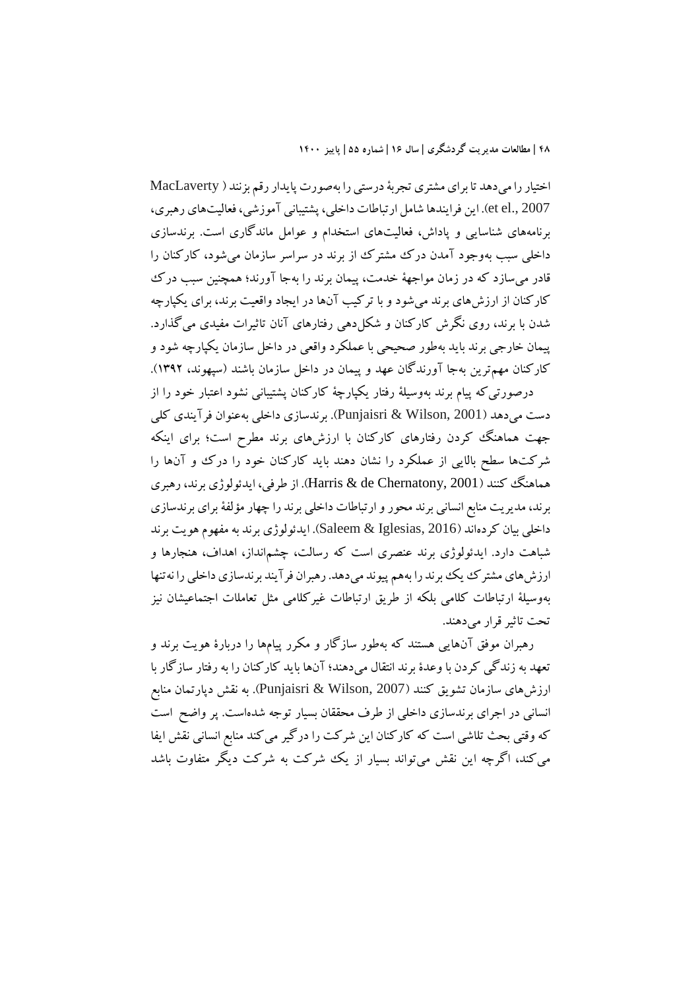اختیار را میدهد تا برای مشتری تجربۀ درستی را بهصورت پایدار رقم بزنند ( MacLaverty 2007 .,el et(. این فرایندها شامل ارتباطات داخلی، پشتیبانی آموزشی، فعالیتهاي رهبري، برنامههاي شناسایی و پاداش، فعالیتهاي استخدام و عوامل ماندگاري است. برندسازي داخلی سبب بهوجود آمدن درك مشترك از برند در سراسر سازمان میشود، کارکنان را قادر میسازد که در زمان مواجهۀ خدمت، پیمان برند را بهجا آورند؛ همچنین سبب درك کارکنان از ارزشهاي برند میشود و با ترکیب آنها در ایجاد واقعیت برند، براي یکپارچه شدن با برند، روي نگرش کارکنان و شکلدهی رفتارهاي آنان تاثیرات مفیدي میگذارد. پیمان خارجی برند باید بهطور صحیحی با عملکرد واقعی در داخل سازمان یکپارچه شود و کارکنان مهمترین بهجا آورندگان عهد و پیمان در داخل سازمان باشند (سپهوند، 1392). درصورتیکه پیام برند بهوسیلۀ رفتار یکپارچۀ کارکنان پشتیبانی نشود اعتبار خود را از دست میدهد (2001 ,Wilson & Punjaisri(. برندسازي داخلی بهعنوان فرآیندي کلی

جهت هماهنگ کردن رفتارهای کارکنان با ارزشهای برند مطرح است؛ برای اینکه شرکتها سطح بالایی از عملکرد را نشان دهند باید کارکنان خود را درك و آنها را هماهنگ کنند (2001 ,Chernatony de & Harris(. از طرفی، ایدئولوژي برند، رهبري برند، مدیریت منابع انسانی برند محور و ارتباطات داخلی برند را چهار مؤلفۀبراي برندسازي داخلی بیان کردهاند (2016 ,Iglesias & Saleem(. ایدئولوژي برند به مفهوم هویت برند شباهت دارد. ایدئولوژي برند عنصري است که رسالت، چشمانداز، اهداف، هنجارها و ارزشهاي مشترك یك برند را بههم پیوند میدهد. رهبران فرآیند برندسازي داخلی را نهتنها بهوسیلۀ ارتباطات کلامی بلکه از طریق ارتباطات غیرکلامی مثل تعاملات اجتماعیشان نیز تحت تاثیرقرار میدهند.

رهبران موفق آنهایی هستند که بهطور سازگار و مکرر پیامها را دربارة هویت برند و تعهد به زندگی کردن با وعدة برند انتقال میدهند؛ آنها باید کارکنان را به رفتار سازگار با ارزشهاي سازمان تشویق کنند (2007 ,Wilson & Punjaisri(. به نقش دپارتمان منابع انسانی در اجراي برندسازي داخلی از طرف محققان بسیار توجه شدهاست. پر واضح است که وقتی بحث تلاشی است که کارکنان این شرکت را درگیر می کند منابع انسانی نقش ایفا میکند، اگرچه این نقش میتواند بسیار از یک شرکت به شرکت دیگر متفاوت باشد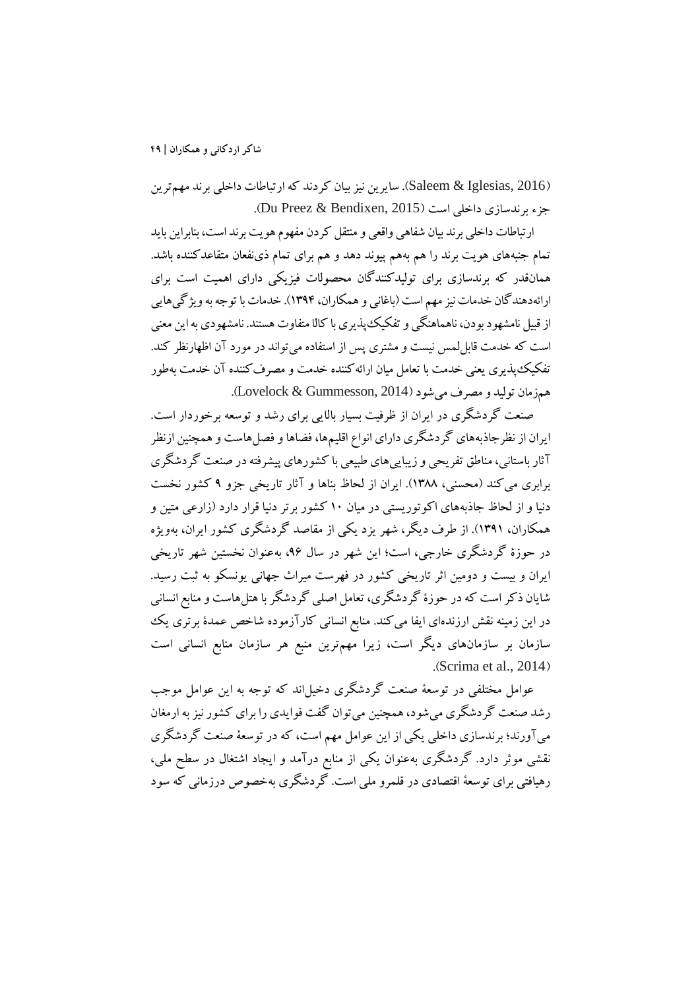(2016 ,Iglesias & Saleem(. سایرین نیزبیان کردند که ارتباطات داخلی برند مهمترین جزء برندسازي داخلي است (Du Preez & Bendixen, 2015).

ارتباطات داخلی برند بیان شفاهی واقعی و منتقل کردن مفهوم هویت برند است، بنابراین باید تمام جنبههاي هویت برند را هم بههم پیوند دهد و هم براي تمام ذينفعان متقاعدکننده باشد. همانقدر که برندسازي براي تولیدکنندگان محصولات فیزیکی داراي اهمیت است براي ارائهدهندگان خدمات نیز مهم است (باغانی و همکاران، ۱۳۹۴). خدمات با توجه به ویژگیهایی از قبیل نامشهود بودن، ناهماهنگیو تفکیکپذیريبا کالا متفاوت هستند. نامشهوديبه این معنی است که خدمت قابللمس نیست و مشتري پس از استفاده میتواند در مورد آن اظهارنظر کند. تفکیکپذیري یعنی خدمت با تعامل میان ارائهکننده خدمت و مصرفکننده آن خدمت بهطور همزمان تولید و مصرف میشود(2014 ,Gummesson & Lovelock(.

صنعت گردشگري در ایران از ظرفیت بسیار بالایی براي رشد و توسعه برخوردار است. ایران از نظرجاذبههاي گردشگري داراي انواع اقلیمها، فضاها و فصلهاست و همچنین ازنظر آثار باستانی، مناطق تفریحی و زیباییهاي طبیعی با کشورهاي پیشرفتهدر صنعت گردشگري برابري میکند (محسنی، 1388). ایران از لحاظ بناها و آثار تاریخی جزو 9 کشور نخست دنیا و از لحاظ جاذبههاي اکوتوریستی در میان 10 کشور برتر دنیا قرار دارد (زارعی متین و همکاران، 1391). از طرف دیگر، شهر یزد یکی از مقاصد گردشگري کشور ایران، بهویژه در حوزة گردشگري خارجی، است؛ این شهر در سال ،96 بهعنوان نخستین شهر تاریخی ایران و بیست و دومین اثر تاریخی کشور در فهرست میراث جهانی یونسکو به ثبت رسید. شایان ذکراست که در حوزة گردشگري، تعامل اصلی گردشگر با هتلهاست و منابع انسانی در این زمینه نقش ارزندهاي ایفا میکند. منابع انسانی کارآزموده شاخص عمدة برتري یک سازمان بر سازمانهاي دیگر است، زیرا مهمترین منبع هر سازمان منابع انسانی است .(Scrima et al., 2014)

عوامل مختلفی در توسعۀ صنعت گردشگري دخیلاند که توجه به این عوامل موجب رشد صنعت گردشگري میشود،همچنین میتوان گفت فوایدي را براي کشور نیزبه ارمغان میآورند؛ برندسازي داخلی یکی از این عوامل مهم است، که در توسعۀ صنعت گردشگري نقشی موثر دارد. گردشگري بهعنوان یکی از منابع درآمد و ایجاد اشتغال در سطح ملی، رهیافتی براي توسعۀ اقتصادي در قلمرو ملی است. گردشگري بهخصوص درزمانی که سود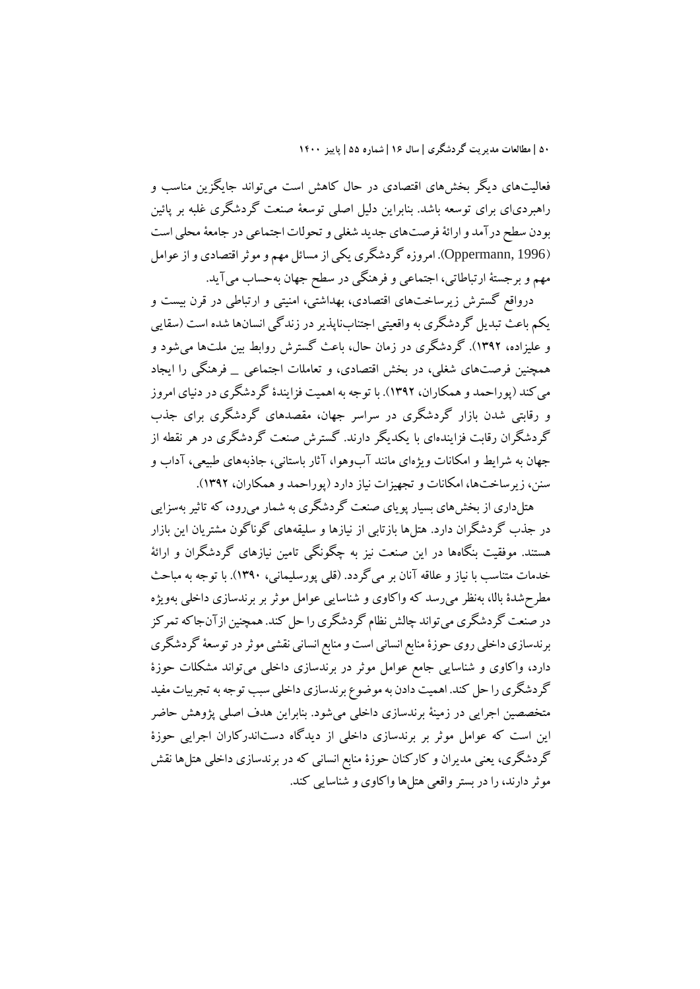فعالیتهاي دیگر بخشهاي اقتصادي در حال کاهش است میتواند جایگزین مناسب و راهبردياي براي توسعه باشد. بنابراین دلیل اصلی توسعۀ صنعت گردشگري غلبه بر پائین بودن سطح درآمد و ارائۀفرصتهاي جدید شغلی و تحولات اجتماعی در جامعۀمحلی است (1996 ,Oppermann(. امروزه گردشگريیکی از مسائل مهم و موثراقتصادي و از عوامل مهم و برجستۀ ارتباطاتی، اجتماعی و فرهنگی در سطح جهان بهحساب میآید.

درواقع گسترش زیرساختهاي اقتصادي، بهداشتی، امنیتی و ارتباطی در قرن بیست و یکم باعث تبدیل گردشگري به واقعیتی اجتنابناپذیردر زندگی انسانها شده است (سقایی و علیزاده، 1392). گردشگري در زمان حال، باعث گسترش روابط بین ملتها میشود و همچنین فرصتهاي شغلی، در بخش اقتصادي، و تعاملات اجتماعی \_ فرهنگی را ایجاد میکند (پوراحمد و همکاران، 1392). با توجه به اهمیت فزایندة گردشگري در دنیاي امروز و رقابتی شدن بازار گردشگري در سراسر جهان، مقصدهاي گردشگري براي جذب گردشگران رقابت فزایندهاي با یکدیگر دارند. گسترش صنعت گردشگري در هر نقطه از جهان به شرایط و امکانات ویژهاي مانند آبوهوا، آثار باستانی، جاذبههاي طبیعی، آداب و سنن، زیرساختها، امکانات و تجهیزات نیاز دارد (پوراحمد و همکاران، 1392).

هتلداري از بخشهاي بسیار پویاي صنعت گردشگري به شمار میرود، که تاثیربهسزایی در جذب گردشگران دارد. هتلها بازتابی از نیازها و سلیقههاي گوناگون مشتریان این بازار هستند. موفقیت بنگاهها در این صنعت نیز به چگونگی تامین نیازهاي گردشگران و ارائۀ خدمات متناسب با نیاز و علاقه آنان بر میگردد. (قلی پورسلیمانی، 1390). با توجه به مباحث مطرحشدة بالا، بهنظر میرسد که واکاوي و شناسایی عوامل موثر بر برندسازي داخلی بهویژه در صنعت گردشگري مي تواند چالش نظام گردشگري را حل کند. همچنين ازآنجاکه تمرکز برندسازی داخلی روی حوزهٔ منابع انسانی است و منابع انسانی نقشی موثر در توسعۀ گردشگری دارد، واکاوي و شناسایی جامع عوامل موثر در برندسازي داخلی میتواند مشکلات حوزة گردشگري را حل کند. اهمیت دادن به موضوع برندسازي داخلی سبب توجه به تجربیات مفید متخصصین اجرایی در زمینۀ برندسازي داخلی میشود. بنابراین هدف اصلی پژوهش حاضر این است که عوامل موثر بر برندسازي داخلی از دیدگاه دستاندرکاران اجرایی حوزة گردشگري، یعنی مدیران و کارکنان حوزة منابع انسانی که در برندسازي داخلی هتلها نقش موثر دارند،را در بستر واقعی هتلها واکاوي و شناسایی کند.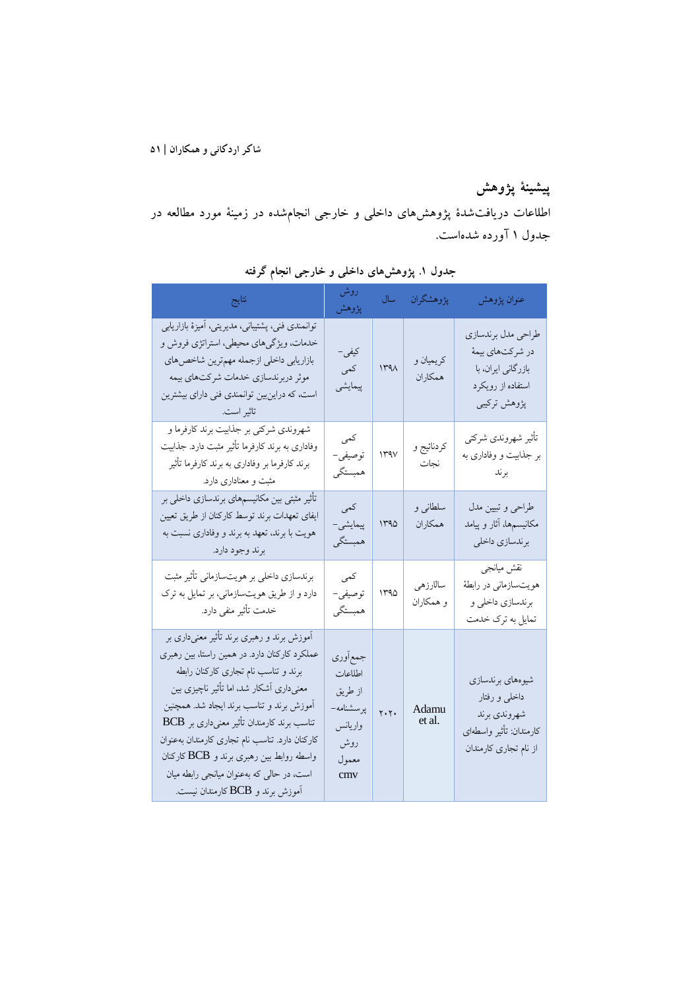# **پیشینۀ پژوهش**

اطلاعات دریافتشدة پژوهشهاي داخلی و خارجی انجامشده در زمینۀ مورد مطالعه در جدول 1 آورده شدهاست.

| نتايج                                                                                                                                                                                                                                                                                                                                                                                                                                                | روش<br>پژوهش                                                                  | سال                           | پژوهشگران             | عنوان پژوهش                                                                                           |
|------------------------------------------------------------------------------------------------------------------------------------------------------------------------------------------------------------------------------------------------------------------------------------------------------------------------------------------------------------------------------------------------------------------------------------------------------|-------------------------------------------------------------------------------|-------------------------------|-----------------------|-------------------------------------------------------------------------------------------------------|
| توانمندی فنی، پشتیبانی، مدیریتی، آمیزهٔ بازاریابی<br>خدمات، ویژگیهای محیطی، استراتژی فروش و<br>بازاريابي داخلي ازجمله مهم ترين شاخص هاي<br>موثر دربرندسازي خدمات شركتهاي بيمه<br>است، که دراین بین توانمندی فنی دارای بیشترین<br>تاثير است. المستخدمات المستخدمات                                                                                                                                                                                    | کيفي –<br>كمى<br>پیمایشی                                                      | 144 <sub>A</sub>              | كريميان و<br>همكاران  | طراحي مدل برندسازي<br>در شركتهاي بيمهٔ<br>بازرگانی ایران، با<br>استفاده از رویکرد<br>پژوهش ترکیبی     |
| شهروندی شرکتی بر جذابیت برند کارفرما و<br>وفاداری به برند کارفرما تأثیر مثبت دارد. جذابیت<br>برند کارفرما بر وفاداری به برند کارفرما تأثیر<br>مثبت و معناداری دارد.                                                                                                                                                                                                                                                                                  | كمى<br>توصيفي–<br>همبستگي                                                     | 144V                          | كردنائيج و<br>نجات    | تأثير شهروندي شركتي<br>بر جذابیت و وفاداری به<br>برند                                                 |
| تأثیر مثبتی بین مکانیسمهای برندسازی داخلی بر<br>ایفای تعهدات برند توسط کارکنان از طریق تعیین<br>هویت با برند، تعهد به برند و وفاداری نسبت به<br>برند وجود دارد.                                                                                                                                                                                                                                                                                      | كمى<br>پیمایشی-<br>همبستگي                                                    | 140                           | سلطاني و<br>همكاران   | طراحي وتبيين مدل<br>مکانیسمها، آثار و پیامد<br>برندسازي داخلي                                         |
| برندسازی داخلی بر هویتسازمانی تأثیر مثبت<br>دارد و از طریق هویتسازمانی، بر تمایل به ترک<br>خدمت تأثیر منفی دارد.                                                                                                                                                                                                                                                                                                                                     | كمى<br>توصيفي-<br>همبستگي                                                     | 140                           | سالارزهي<br>و همکاران | نقش ميانجي<br>هویتسازمانی در رابطهٔ<br>برندسازي داخلي و<br>تمایل به ترک خدمت                          |
| آموزش برند و رهبری برند تأثیر معنیداری بر<br>عملکرد کارکنان دارد. در همین راستا، بین رهبری<br>برند و تناسب نام تجاری کارکنان رابطه<br>معنیداری أشکار شد، اما تأثیر ناچیزی بین<br>أموزش برند و تناسب برند ايجاد شد. همچنين<br>تناسب برند کارمندان تأثیر معنیداری بر BCB<br>كاركنان دارد. تناسب نام تجارى كارمندان بهعنوان<br>واسطه روابط بین رهبری برند و BCB کارکنان<br>است، در حالی که بهعنوان میانجی رابطه میان<br>آموزش برند و BCB کارمندان نیست. | جمع أورى<br>اطلاعات<br>از طريق<br>پرسشنامه-<br>واريانس<br>روش<br>معمول<br>cmy | $\mathbf{y} \cdot \mathbf{y}$ | Adamu<br>et al.       | شيوههاي برندسازي<br>داخلی و رفتار<br>شهروندي برند<br>كارمندان: تأثير واسطهاى<br>از نام تجاری کارمندان |

**جدول .1 پژوهشهاي داخلی و خارجی انجام گرفته**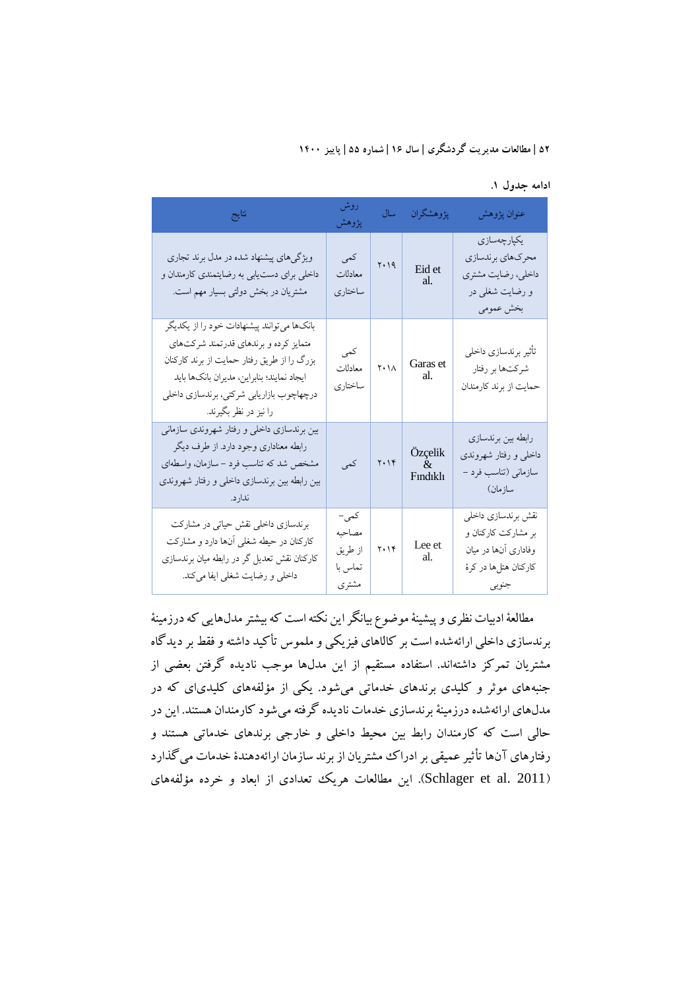**ادامه جدول .1** 

| نتايج                                                                                                                                                                                                                                                 | روش<br>پژوهش                                  | سال          | پژوهشگران                                    | عنوان پژوهش                                                                                         |
|-------------------------------------------------------------------------------------------------------------------------------------------------------------------------------------------------------------------------------------------------------|-----------------------------------------------|--------------|----------------------------------------------|-----------------------------------------------------------------------------------------------------|
| ویژگیهای پیشنهاد شده در مدل برند تجاری<br>داخلی برای دست یابی به رضایتمندی کارمندان و<br>مشتریان در بخش دولتی بسیار مهم است.                                                                                                                          | كمى<br>معادلات<br>ساختارى                     | $Y \cdot 19$ | Eid et<br>al.                                | يكپارچەسازى<br>محركهاي برندسازي<br>داخلي، رضايت مشتري<br>و رضایت شغلی در<br>بخش عمومي               |
| بانکها میتوانند پیشنهادات خود را از یکدیگر<br>متمایز کرده و برندهای قدرتمند شرکتهای<br>بزرگ را از طریق رفتار حمایت از برند کارکنان<br>ايجاد نمايند؛ بنابراين، مديران بانكها بايد<br>درچهاچوب بازاریابی شرکتی، برندسازی داخلی<br>را نیز در نظر بگیرند. | كمى<br>معادلات<br>ساختاری                     | $Y \cdot 1$  | Garas et<br>al.                              | تأثير برندسازي داخلي<br>شرکتها بر رفتار<br>حمایت از برند کارمندان                                   |
| بین برندسازی داخلی و رفتار شهروندی سازمانی<br>رابطه معناداري وجود دارد. از طرف ديگر<br>مشخص شد که تناسب فرد – سازمان، واسطهای<br>بین رابطه بین برندسازی داخلی و رفتار شهروندی<br>ندار د.                                                              | کمی                                           | $Y \cdot Y$  | Özçelik<br>$\mathcal{R}$<br><b>F</b> indikli | رابطه بين برندسازي<br>داخلی و رفتار شهروندی<br>سازمانی (تناسب فرد –<br>سازمان)                      |
| برندسازی داخلی نقش حیاتی در مشارکت<br>کارکنان در حیطه شغلی آنها دارد و مشارکت<br>کارکنان نقش تعدیل گر در رابطه میان برندسازی<br>داخلی و رضایت شغلی ایفا میکند.                                                                                        | کمی-<br>مصاحبه<br>از طريق<br>تماس با<br>مشترى | $Y \cdot Y$  | Lee et<br>$\operatorname{al.}$               | نقش برندسازي داخلي<br>بر مشارکت کارکنان و<br>وفاداری آنها در میان<br>كاركنان هتلها در كرهٔ<br>جنوبي |

مطالعۀادبیات نظري و پیشینۀموضوع بیانگر این نکته است که بیشتر مدلهایی که درزمینۀ برندسازي داخلی ارائهشده است بر کالاهاي فیزیکی و ملموس تأکید داشته و فقط بر دیدگاه مشتریان تمرکز داشتهاند. استفاده مستقیم از این مدلها موجب نادیده گرفتن بعضی از جنبههاي موثر و کلیدي برندهاي خدماتی میشود. یکی از مؤلفههاي کلیدياي که در مدلهاي ارائهشده درزمینۀبرندسازي خدمات نادیده گرفته میشود کارمندان هستند. این در حالی است که کارمندان رابط بین محیط داخلی و خارجی برندهاي خدماتی هستند و رفتارهاي آنها تأثیر عمیقی بر ادراك مشتریان از برند سازمان ارائهدهندة خدمات میگذارد (Schlager et al. 2011). این مطالعات هریک تعدادی از ابعاد و خرده مؤلفههای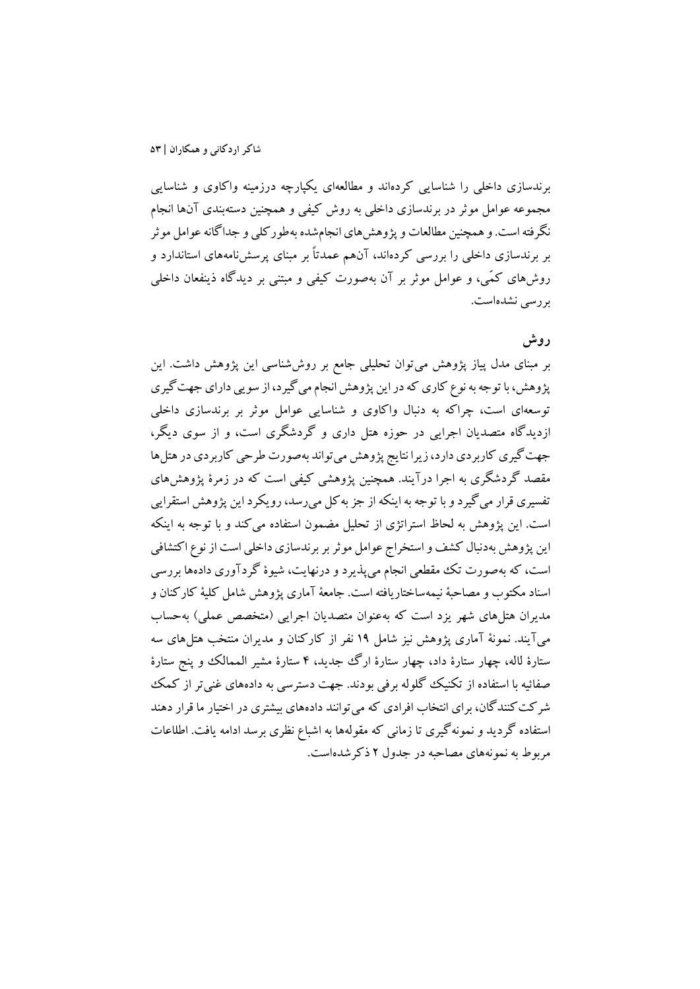برندسازي داخلی را شناسایی کردهاند و مطالعهاي یکپارچه درزمینه واکاوي و شناسایی مجموعه عوامل موثر در برندسازي داخلی به روش کیفی و همچنین دستهبندي آنها انجام نگرفته است. وهمچنین مطالعات و پژوهشهاي انجامشده بهطورکلی و جداگانه عوامل موثر بر برندسازي داخلی را بررسی کردهاند، آنهم عمدتاً بر مبناي پرسشنامههاي استاندارد و روشهاي کمّی، و عوامل موثر بر آن بهصورت کیفی و مبتنی بر دیدگاه ذینفعان داخلی بررسی نشدهاست.

## **روش**

بر مبناي مدل پیاز پژوهش میتوان تحلیلی جامع بر روششناسی این پژوهش داشت. این پژوهش، با توجه به نوع کاري که در این پژوهش انجام میگیرد، از سویی داراي جهت گیري توسعهاي است، چراکه به دنبال واکاوي و شناسایی عوامل موثر بر برندسازي داخلی ازدیدگاه متصدیان اجرایی در حوزه هتل داري و گردشگري است، و از سوي دیگر، جهت گیري کاربردي دارد، زیرا نتایج پژوهش می تواند بهصورت طرحی کاربردي در هتل ها مقصد گردشگري به اجرا درآیند. همچنین پژوهشی کیفی است که در زمرة پژوهشهاي تفسیري قرار میگیردو با توجه به اینکه از جز بهکل میرسد،رویکرد این پژوهش استقرایی است. این پژوهش به لحاظ استراتژي از تحلیل مضمون استفاده میکند و با توجه به اینکه این پژوهش بهدنبال کشف و استخراج عوامل موثربر برندسازي داخلی است از نوع اکتشافی است، که بهصورت تک مقطعی انجام میپذیرد و درنهایت، شیوة گردآوري دادهها بررسی اسناد مکتوب و مصاحبۀ نیمهساختاریافته است. جامعۀ آماري پژوهش شامل کلیۀ کارکنان و مدیران هتلهاي شهر یزد است که بهعنوان متصدیان اجرایی (متخصص عملی) بهحساب میآیند. نمونۀ آماري پژوهش نیز شامل 19 نفر از کارکنان و مدیران منتخب هتلهاي سه ستارة لاله، چهار ستارة داد، چهار ستارة ارگ جدید، 4 ستارة مشیر الممالک و پنج ستارة صفائیه با استفاده از تکنیک گلوله برفی بودند. جهت دسترسی به دادههاي غنیتر از کمک شرکتکنندگان، براي انتخاب افرادي که میتوانند دادههاي بیشتري در اختیار ما قرار دهند استفاده گردید و نمونهگیري تا زمانی که مقولهها به اشباع نظري برسد ادامه یافت. اطلاعات مربوط به نمونههاي مصاحبه در جدول 2 ذکرشدهاست.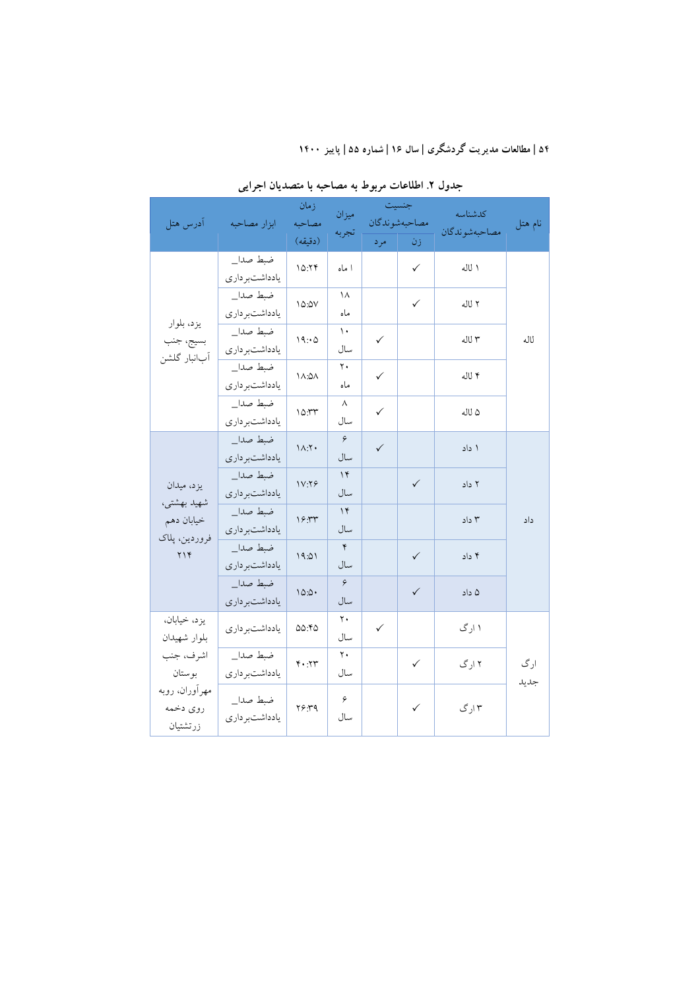| آدرس هتل                                                      | ابزار مصاحبه               | زمان<br>مصاحبه          | ميزان<br>تجربه        |              | جنسيت<br>مصاحبهشوندگان | كدشناسه<br>مصاحبهشوندكان | نام هتل     |
|---------------------------------------------------------------|----------------------------|-------------------------|-----------------------|--------------|------------------------|--------------------------|-------------|
|                                                               |                            | (دقيقه)                 |                       | مر د         | زن                     |                          |             |
|                                                               | ضبط صدا_<br>يادداشتبر دارى | 10.79                   | ا ماه                 |              | $\checkmark$           | ا لاله                   |             |
|                                                               | ضبط صدا_<br>يادداشتبر دارى | 10:2V                   | ۱۸<br>ماه             |              | $\checkmark$           | ۲ لاله                   |             |
| يزد، بلوار<br>بسيج، جنب                                       | ضبط صدا_<br>يادداشتبردارى  | 19:0                    | $\mathcal{L}$<br>سال  | $\checkmark$ |                        | ۳ لاله                   | لاله        |
| آبانبار گلشن                                                  | ضبط صدا_<br>يادداشتبر دارى | <b>1A:0A</b>            | $\mathbf{y}$ .<br>ماه | $\checkmark$ |                        | ۴ لاله                   |             |
|                                                               | ضبط صدا_<br>يادداشتبر دارى | 10.57                   | ٨<br>سال              | $\checkmark$ |                        | ۵ لاله                   |             |
| يزد، ميدان                                                    | ضبط صدا_<br>يادداشتبر دارى | $1\Lambda$ : $\Upsilon$ | $\varphi$<br>سال      | $\checkmark$ |                        | ۱ داد                    |             |
|                                                               | ضبط صدا_<br>يادداشتبر دارى | 1V.79                   | $\gamma$<br>سال       |              | $\checkmark$           | ۲ داد                    |             |
| شهيد بهشتي،<br>خيابان دهم                                     | ضبط صدا_<br>يادداشتبر دارى | 19.57                   | $\gamma$<br>سال       |              |                        | ۲ داد                    | داد         |
| فروردين، پلاک<br>$Y \wedge Y$                                 | ضبط صدا_<br>یادداشتبر داری | 19.01                   | $\mathbf{r}$<br>سال   |              | $\checkmark$           | ۴ داد                    |             |
|                                                               | ضبط صدا_<br>يادداشتبردارى  | 10:0.0                  | $\varphi$<br>سال      |              | $\checkmark$           | ۵ داد                    |             |
| يزد، خيابان،<br>بلوار شهيدان                                  | يادداشتبر دارى             | 00.70                   | ٢٠<br>سال             | $\checkmark$ |                        | ۱ ارگ                    |             |
| اشرف، جنب<br>بوستان<br>مهرآوران، روبه<br>روى دخمه<br>زرتشتيان | ضبط صدا_<br>يادداشتبر دارى | $Y \cdot Y$             | $\mathbf{y}$ .<br>سال |              | $\checkmark$           | ۲ ارگ                    | ارگ<br>جديد |
|                                                               | ضبط صدا_<br>يادداشتبردارى  | ۳۶.۳۹                   | $\varphi$<br>سال      |              | $\checkmark$           | ۲ ارگ                    |             |

**جدول .2 اطلاعات مربوط به مصاحبه با متصدیان اجرایی**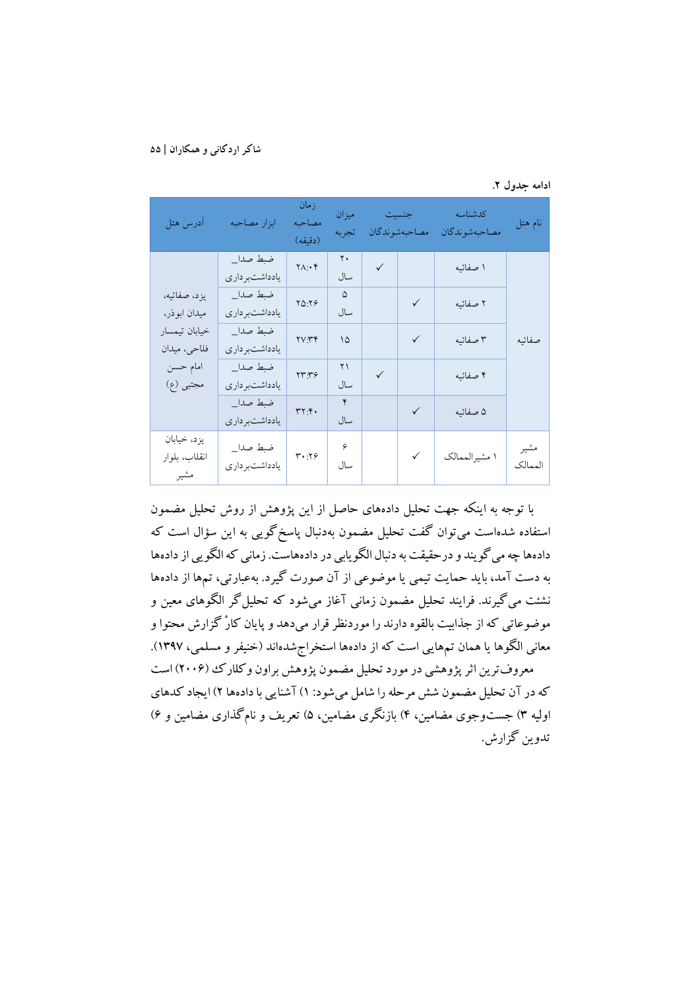|  | ادامه جدول ۲. |  |  |
|--|---------------|--|--|
|--|---------------|--|--|

| آدرس هتل                             | ابزار مصاحبه               | زمان<br>مصاحبه<br>(دقيقه) | ميزان<br>تجربه |              | جنسيت<br>مصاحبهشوندكان | كدشناسه<br>مصاحبهشوندگان | نام هتل         |
|--------------------------------------|----------------------------|---------------------------|----------------|--------------|------------------------|--------------------------|-----------------|
|                                      | ضبط صدا_<br>يادداشتبر دارى | $Y \wedge \cdot Y$        | ٢٠<br>سال      | $\checkmark$ |                        | ۱ صفائیه                 |                 |
| يزد، صفائيه،<br>ميدان ابوذر،         | ضبط صدا_<br>يادداشتبر دارى | 70.79                     | ۵<br>سال       |              | $\checkmark$           | ۲ صفائیه                 |                 |
| خيابان تيمسار<br>فلاحي، ميدان        | ضبط صدا_<br>يادداشتبر دارى | YVYY                      | ۱۵             |              | $\checkmark$           | ۳ صفائیه                 | صفائىه          |
| امام حسن<br>مجتبي (ع)                | ضبط صدا_<br>يادداشتبر دارى | ۲۳:۳۶                     | ۲۱<br>سال      | $\checkmark$ |                        | ۴ صفائیه                 |                 |
|                                      | ضبط صدا_<br>يادداشتبر دارى | YY.Y                      | ۴<br>سال       |              | $\checkmark$           | ۵ صفائیه                 |                 |
| يزد، خيابان<br>انقلاب، بلوار<br>مشير | ضبط صدا_<br>يادداشتبردارى  | $Y^{\bullet}$ . 19        | ۶<br>سال       |              | $\checkmark$           | ۱ مشیرالممالک            | مشير<br>الممالك |

با توجه به اینکه جهت تحلیل دادههاي حاصل از این پژوهش از روش تحلیل مضمون استفاده شدهاست میتوان گفت تحلیل مضمون بهدنبال پاسخگویی به این سؤال است که دادهها چه می گویند و درحقیقت به دنبال الگویابی در دادههاست. زمانی که الگویی از دادهها به دست آمد، باید حمایت تیمی یا موضوعی از آن صورت گیرد. بهعبارتی، تمها از دادهها نشئت میگیرند. فرایند تحلیل مضمون زمانی آغاز میشود که تحلیلگر الگوهاي معین و موضوعاتی که از جذابیت بالقوه دارند را موردنظر قرار میدهد و پایان کارْ گزارش محتوا و معانی الگوها یا همان تمهایی است که از دادهها استخراجشدهاند (خنیفر و مسلمی، 1397). معروفترین اثر پژوهشی در مورد تحلیل مضمون پژوهش براون وکلارك (2006) است که در آن تحلیل مضمون شش مرحله را شامل میشود: 1)آشنایی با دادهها 2) ایجاد کدهاي اولیه 3) جستوجوي مضامین، 4) بازنگري مضامین، 5) تعریف و نامگذاري مضامین و 6) تدوین گزارش.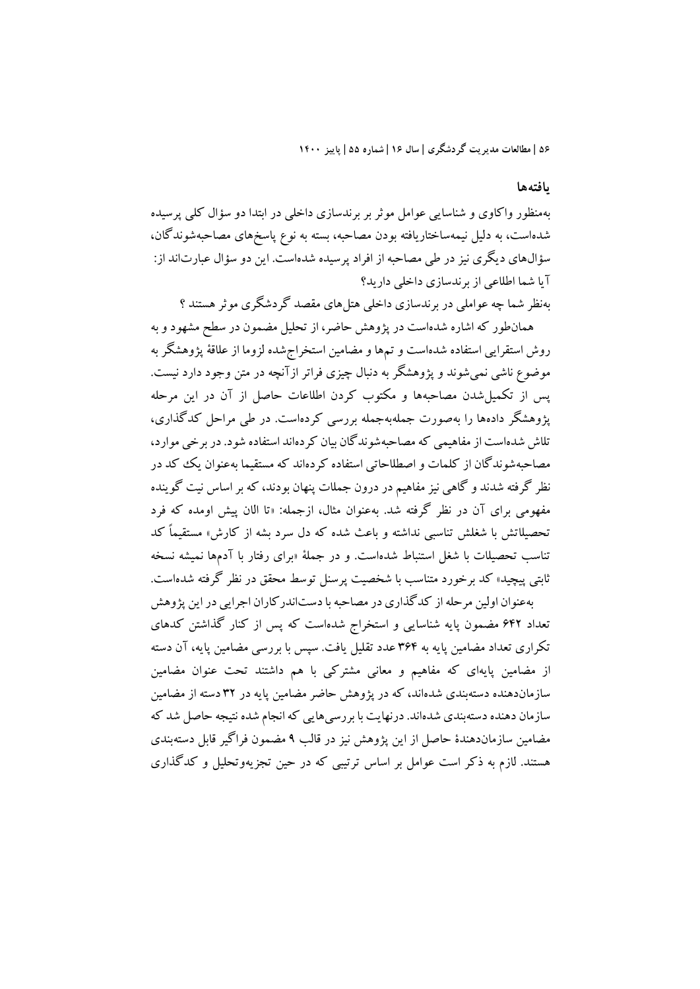#### **یافتهها**

بهمنظور واکاوي و شناسایی عوامل موثر بر برندسازي داخلی در ابتدا دو سؤال کلی پرسیده شدهاست، به دلیل نیمهساختاریافته بودن مصاحبه، بسته به نوع پاسخهاي مصاحبهشوندگان، سؤالهاي دیگري نیز در طی مصاحبه از افراد پرسیده شدهاست. این دو سؤال عبارتاند از: آیا شما اطلاعی از برندسازي داخلی دارید؟

بهنظر شما چه عواملی در برندسازي داخلی هتلهاي مقصد گردشگري موثرهستند ؟ همانطور که اشاره شدهاست در پژوهش حاضر، از تحلیل مضمون در سطح مشهود و به

روش استقرایی استفاده شدهاست و تمها و مضامین استخراجشده لزوما از علاقۀ پژوهشگر به موضوع ناشی نمیشوند و پژوهشگر به دنبال چیزي فراتر ازآنچه در متن وجود دارد نیست. پس از تکمیلشدن مصاحبهها و مکتوب کردن اطلاعات حاصل از آن در این مرحله پژوهشگر دادهها را بهصورت جملهبهجمله بررسی کردهاست. در طی مراحل کدگذاري، تلاش شدهاست از مفاهیمی که مصاحبهشوندگان بیان کردهاند استفاده شود. در برخی موارد، مصاحبهشوندگان از کلمات و اصطلاحاتی استفاده کردهاند که مستقیما بهعنوان یک کد در نظر گرفته شدند و گاهی نیز مفاهیم در درون جملات پنهان بودند، که بر اساس نیت گوینده مفهومی براي آن در نظر گرفته شد. بهعنوان مثال، ازجمله: «تا الان پیش اومده که فرد تحصیلاتش با شغلش تناسبی نداشته و باعث شده که دل سرد بشه از کارش» مستقیماً کد تناسب تحصیلات با شغل استنباط شدهاست. و در جملۀ «براي رفتار با آدمها نمیشه نسخه ثابتی پیچید» کد برخورد متناسب با شخصیت پرسنل توسط محقق در نظر گرفته شدهاست.

بهعنوان اولین مرحله از کدگذاري در مصاحبه با دستاندرکاران اجرایی در این پژوهش تعداد 642 مضمون پایه شناسایی و استخراج شدهاست که پس از کنار گذاشتن کدهاي تکراري تعداد مضامین پایه به 364 عدد تقلیل یافت. سپس با بررسی مضامین پایه، آن دسته از مضامین پایهاي که مفاهیم و معانی مشترکی با هم داشتند تحت عنوان مضامین سازماندهنده دستهبندي شدهاند، که در پژوهش حاضر مضامین پایه در 32 دسته از مضامین سازمان دهنده دستهبندي شدهاند. درنهایت با بررسیهایی که انجام شده نتیجه حاصل شد که مضامین سازماندهندة حاصل از این پژوهش نیز در قالب 9 مضمون فراگیر قابل دستهبندي هستند. لازم به ذکر است عوامل بر اساس ترتیبی که در حین تجزیهوتحلیل و کدگذاري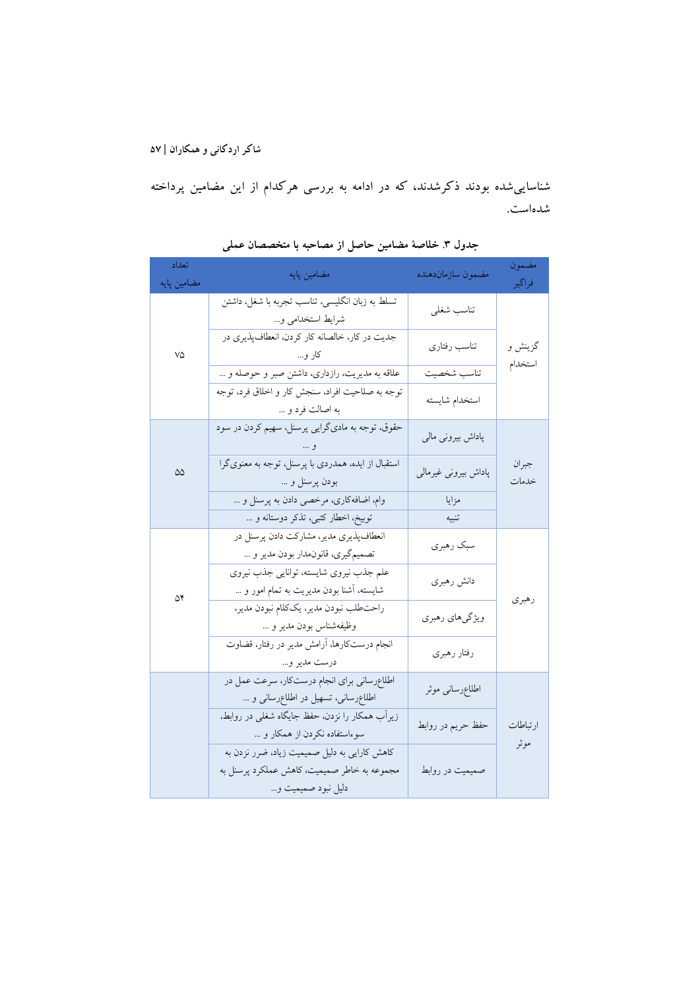شناساییشده بودند ذکرشدند، که در ادامه به بررسی هرکدام از این مضامین پرداخته شدهاست.

| تعداد<br>مضامین پایه | مضامین پایه                                                                                                        | مضمون سازماندهنده    | مضمون<br>فراگير |
|----------------------|--------------------------------------------------------------------------------------------------------------------|----------------------|-----------------|
|                      | تسلط به زبان انگلیسی، تناسب تجربه با شغل، داشتن<br>شرايط استخدامي و                                                | تناسب شغلي           |                 |
| ٧۵                   | جدیت در کار، خالصانه کار کردن، انعطافپذیری در<br>کار و…                                                            | تناسب رفتاري         | گزينش و         |
|                      | علاقه به مديريت، رازداري، داشتن صبر و حوصله و                                                                      |                      | استخدام         |
|                      | توجه به صلاحیت افراد، سنجش کار و اخلاق فرد، توجه<br>به اصالت فرد و                                                 | استخدام شايسته       |                 |
|                      | حقوق، توجه به ماديگرايي پرسنل، سهيم كردن در سود<br>و …                                                             | پاداش بیرونی مالی    |                 |
| $\Delta\Delta$       | استقبال از ایده، همدردی با پرسنل، توجه به معنویگرا<br>بودن پرسنل و                                                 | پاداش بیرونی غیرمالی | جبران<br>خدمات  |
|                      | وام، اضافه کاری، مرخصی دادن به پرسنل و                                                                             | مزايا                |                 |
|                      | توبيخ، اخطار كتبي، تذكر دوستانه و                                                                                  | تنبيه                |                 |
|                      | انعطافپذیری مدیر، مشارکت دادن پرسنل در<br>تصميم گيري، قانون.دار بودن مدير و                                        | سبک رهبري            |                 |
| ۵۴                   | علم جذب نيروى شايسته، توانايي جذب نيروى<br>شایسته، آشنا بودن مدیریت به تمام امور و …                               | دانش رهبري           |                 |
|                      | راحت طلب نبودن مدير، يككلام نبودن مدير،<br>وظيفهشناس بودن مدير و                                                   | ویژگیهای رهبری       | رهبري           |
|                      | انجام درستکارها، آرامش مدیر در رفتار، قضاوت<br>درست مدير و                                                         | رفتار رهبري          |                 |
|                      | اطلاعرسانی برای انجام درست کار، سرعت عمل در<br>اطلاع رسانی، تسهیل در اطلاع رسانی و                                 | اطلاع رسانى موثر     |                 |
|                      | زیراب همکار را نزدن، حفظ جایگاه شغلی در روابط،<br>سوءاستفاده نکردن از همکار و                                      | حفظ حريم در روابط    | ارتباطات        |
|                      | كاهش كارايي به دليل صميميت زياد، ضرر نزدن به<br>مجموعه به خاطر صمیمیت، کاهش عملکرد پرسنل به<br>دلیل نبود صمیمیت و… | صمیمیت در روابط      | موثر            |

**جدول .3 خلاصۀ مضامین حاصل از مصاحبه با متخصصان عملی**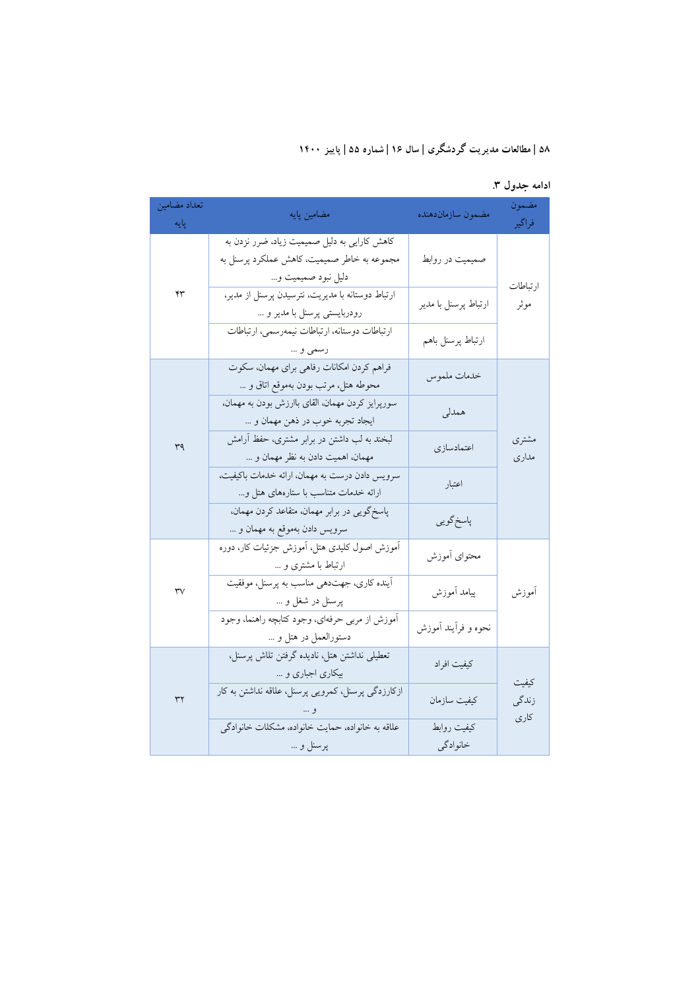| تعداد مضامين<br>پایه   | مضامین پایه                                                                                                       | مضمون سازماندهنده       | مضمون<br>فراگير  |
|------------------------|-------------------------------------------------------------------------------------------------------------------|-------------------------|------------------|
|                        | كاهش كارايي به دليل صميميت زياد، ضرر نزدن به<br>مجموعه به خاطر صمیمیت، کاهش عملکرد پرسنل به<br>دليل نبود صميميت و | صمیمیت در روابط         |                  |
| ۴٣                     | ارتباط دوستانه با مدیریت، نترسیدن پرسنل از مدیر،<br>رودربايستي پرسنل با مدير و                                    | ارتباط پرسنل با مدير    | ارتباطات<br>موثر |
|                        | ارتباطات دوستانه، ارتباطات نيمهرسمي، ارتباطات<br>رسمي و                                                           | ارتباط پرسنل باهم       |                  |
|                        | فراهم كردن امكانات رفاهي براي مهمان، سكوت<br>محوطه هتل، مرتب بودن بهموقع اتاق و                                   | خدمات ملموس             |                  |
|                        | سورپرایز کردن مهمان، القای باارزش بودن به مهمان،<br>ايجاد تجربه خوب در ذهن مهمان و                                | همدلي                   |                  |
| ٣٩                     | لبخند به لب داشتن در برابر مشتری، حفظ آرامش<br>مهمان، اهميت دادن به نظر مهمان و                                   | اعتمادسازي              | مشترى<br>مدارى   |
|                        | سرويس دادن درست به مهمان، ارائه خدمات باكيفيت،<br>ارائه خدمات متناسب با ستارههای هتل و                            | اعتبار                  |                  |
|                        | پاسخگویی در برابر مهمان، متقاعد کردن مهمان،<br>سرويس دادن بهموقع به مهمان و                                       | پاسخ گويي               |                  |
|                        | آموزش اصول کلیدی هتل، آموزش جزئیات کار، دوره<br>ارتباط با مشتری و                                                 | محتواى آموزش            |                  |
| $\forall \forall$      | آينده كاري، جهتدهي مناسب به پرسنل، موفقيت<br>پرسنل در شغل و …                                                     | پیامد آموزش             | أموزش            |
|                        | آموزش از مربى حرفهاي، وجود كتابچه راهنما، وجود<br>دستورالعمل در هتل و                                             | نحوه و فراًيند اَموزش   |                  |
|                        | تعطیلی نداشتن هتل، نادیده گرفتن تلاش پرسنل،<br>بیکاری اجباری و …                                                  | كيفيت افراد             | كىفىت            |
| $\mathsf{r}\mathsf{r}$ | ازکارزدگی پرسنل، کمرویی پرسنل، علاقه نداشتن به کار                                                                | كيفيت سازمان            | زندگی<br>کاری    |
|                        | علاقه به خانواده، حمايت خانواده، مشكلات خانوادگي<br>پرسنل و …                                                     | كيفيت روابط<br>خانوادگي |                  |

**ادامه جدول .3**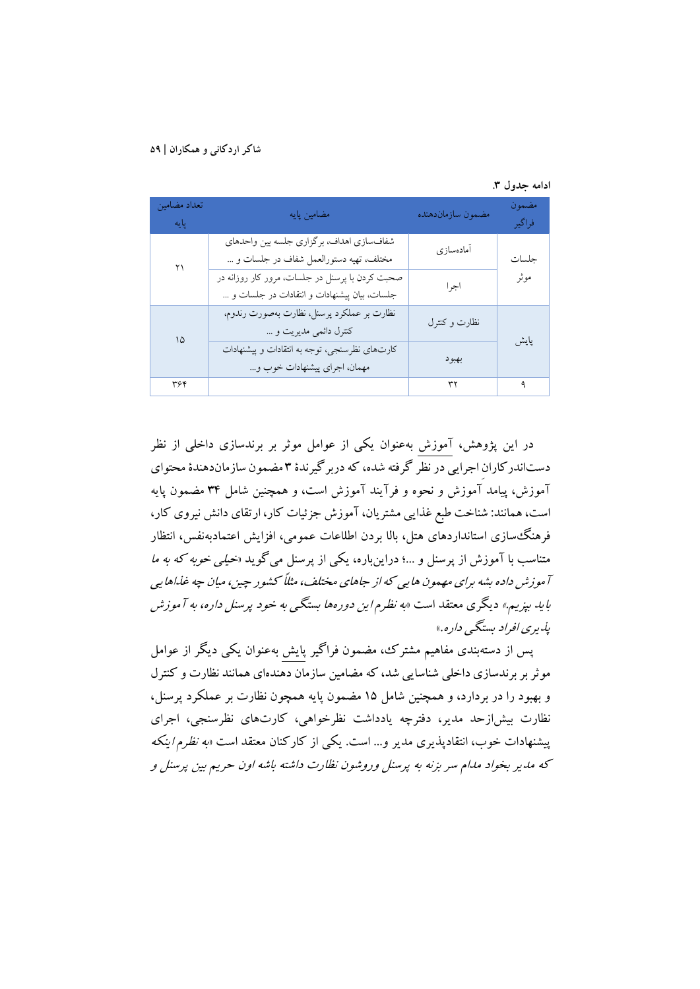| ادامه جدول ۳. |  |  |
|---------------|--|--|
|---------------|--|--|

| تعداد مضامين<br>پايه | مضامین پایه                                                                                    | مضمون سازماندهنده | مضمون<br>فراگير |
|----------------------|------------------------------------------------------------------------------------------------|-------------------|-----------------|
| ۲۱                   | شفاف سازي اهداف، برگزاري جلسه بين واحدهاي<br>مختلف، تهیه دستورالعمل شفاف در جلسات و …          | أمادهسازى         | حلسات           |
|                      | صحبت کردن با پرسنل در جلسات، مرور کار روزانه در<br>جلسات، بيان پيشنهادات و انتقادات در جلسات و | اجرا              | موثر            |
| ۱۵                   | نظارت بر عملكرد پرسنل، نظارت بهصورت رندوم،<br>کنترل دائمی مدیریت و                             | نظارت وكنترل      |                 |
|                      | کارتهای نظرسنجی، توجه به انتقادات و پیشنهادات<br>مهمان، اجراي پيشنهادات خوب و                  | بهبود             | پایش            |
| ۳۶۴                  |                                                                                                | ٣٢                | ٩               |

در این پژوهش، آموزش بهعنوان یکی از عوامل موثر بر برندسازي داخلی از نظر دستاندرکارانِ اجرایی در نظر گرفته شده، که دربرگیرندة 3 مضمون سازماندهندة محتواي آموزش، پیامد آموزش و نحوه و فرآیند آموزش است، و همچنین شامل 34 مضمون پایه است،همانند: شناخت طبع غذایی مشتریان، آموزش جزئیات کار، ارتقاي دانش نیروي کار، فرهنگسازي استانداردهاي هتل، بالا بردن اطلاعات عمومی، افزایش اعتمادبهنفس، انتظار متناسب با آموزش از پرسنل و ...؛ دراینباره، یکی از پرسنل میگوید «خیلی خوبه که به ما آموزش داده بشه براي مهمون هایی که از جاهاي مختلف، مثلاً کشور چین، میان چه غذاهایی باید بپزیم.» دیگري معتقد است «به نظرم این دورهها بستگی به خود پرسنل داره، به آموزش پذیري افراد بستگی داره.»

پس از دستهبندي مفاهیم مشترك، مضمون فراگیر پایش بهعنوان یکی دیگر از عوامل موثربر برندسازي داخلی شناسایی شد، که مضامین سازمان دهندهاي همانند نظارت و کنترل و بهبود را در بردارد، و همچنین شامل 15 مضمون پایه همچون نظارت بر عملکرد پرسنل، نظارت بیشازحد مدیر، دفترچه یادداشت نظرخواهی، کارتهاي نظرسنجی، اجراي پیشنهادات خوب، انتقادپذیري مدیر و... است. یکی از کارکنان معتقد است «به نظرم اینکه که مدیر بخواد مدام سر بزنه به پرسنل وروشون نظارت داشته باشه اون حریم بین پرسنل <sup>و</sup>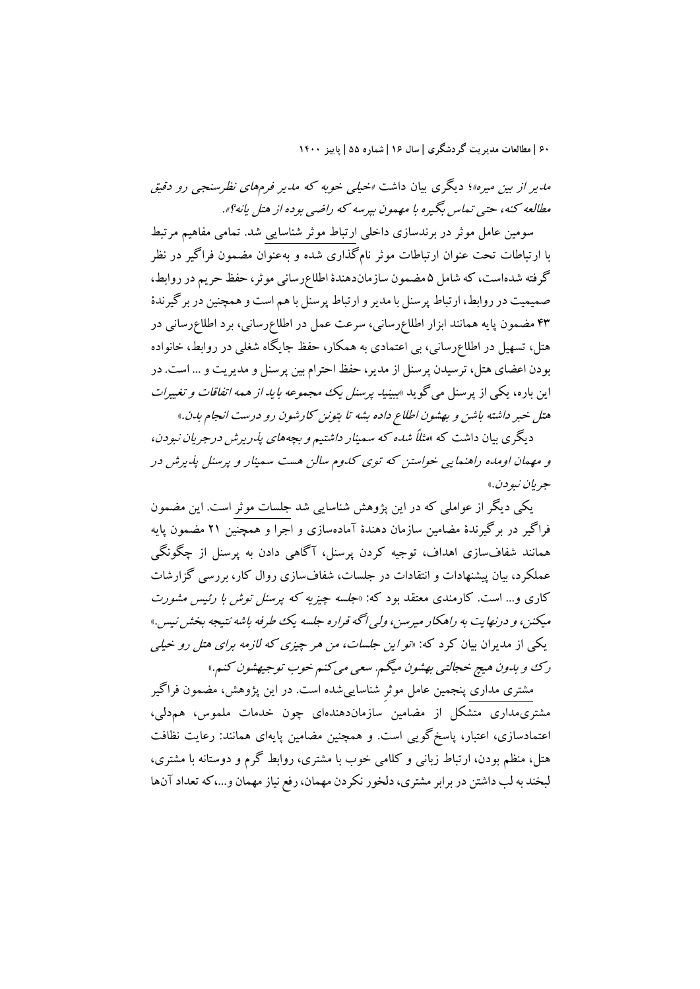مدیر از بین میره»؛ دیگري بیان داشت «خیلی خوبه که مدیر فرمهاي نظرسنجی رو دقیق مطالعه کنه، حتی تماس بگیره با مهمون بپرسه که راضی بوده از هتل یانه؟».

سومین عامل موثر در برندسازي داخلی ارتباط موثر شناسایی شد. تمامی مفاهیم مرتبط با ارتباطات تحت عنوان ارتباطات موثر نامگذاري شده و بهعنوان مضمون فراگیر در نظر گرفته شدهاست، که شامل 5 مضمون سازماندهندة اطلاعرسانی موثر، حفظ حریم در روابط، صمیمیت در روابط، ارتباط پرسنل با مدیر و ارتباط پرسنل با هم است و همچنین در برگیرندة 43 مضمون پایه همانند ابزار اطلاعرسانی، سرعت عمل در اطلاعرسانی، برد اطلاعرسانی در هتل، تسهیل در اطلاعرسانی، بی اعتمادي به همکار، حفظ جایگاه شغلی در روابط، خانواده بودن اعضاي هتل، ترسیدن پرسنل از مدیر، حفظ احترام بین پرسنل و مدیریت و ... است. در این باره، یکی از پرسنل می گوید «ببینی*د پرسنل یک مجموعه باید از همه اتفاقات و تغییرات* هتل خبر داشته باشن و بهشون اطلاع داده بشه تا بتونن کارشون رو درست انجام بدن.»

دیگري بیان داشت که «مثلاً شده که سمینارداشتیم وبچههاي پذریرش درجریان نبودن، و مهمان اومده راهنمایی خواستن که توي کدوم سالن هست سمینار <sup>و</sup> پرسنل پذیرش در جریان نبودن.»

یکی دیگر از عواملی که در این پژوهش شناسایی شد جلسات موثر است. این مضمون فراگیر در برگیرندة مضامین سازمان دهندة آمادهسازي و اجرا و همچنین 21 مضمون پایه همانند شفافسازي اهداف، توجیه کردن پرسنل، آگاهی دادن به پرسنل از چگونگی عملکرد، بیان پیشنهادات و انتقادات در جلسات، شفافسازي روال کار، بررسی گزارشات کاري و... است. کارمندي معتقد بود که: «جلسه چیزیه که پرسنل توش با رئیس مشورت میکنن، و درنهایت به راهکار میرسن، ولی اگه قراره جلسه یک طرفه باشه نتیجه بخش نیس.» یکی از مدیران بیان کرد که: «تو این جلسات، من هر چیزي که لازمه براي هتل رو خیلی رك وبدون هیچ خجالتی بهشون میگم. سعی میکنم خوب توجیهشون کنم.»

مشتري مداري پنجمین عامل موثرِ شناساییشده است. در این پژوهش، مضمون فراگیر مشتريمداري متشکل از مضامین سازماندهندهاي چون خدمات ملموس، همدلی، اعتمادسازي، اعتبار، پاسخگویی است. و همچنین مضامین پایهاي همانند: رعایت نظافت هتل، منظم بودن، ارتباط زبانی و کلامی خوب با مشتري، روابط گرم و دوستانه با مشتري، لبخند به لب داشتن در برابر مشتري، دلخور نکردن مهمان، رفع نیاز مهمان و،...که تعداد آنها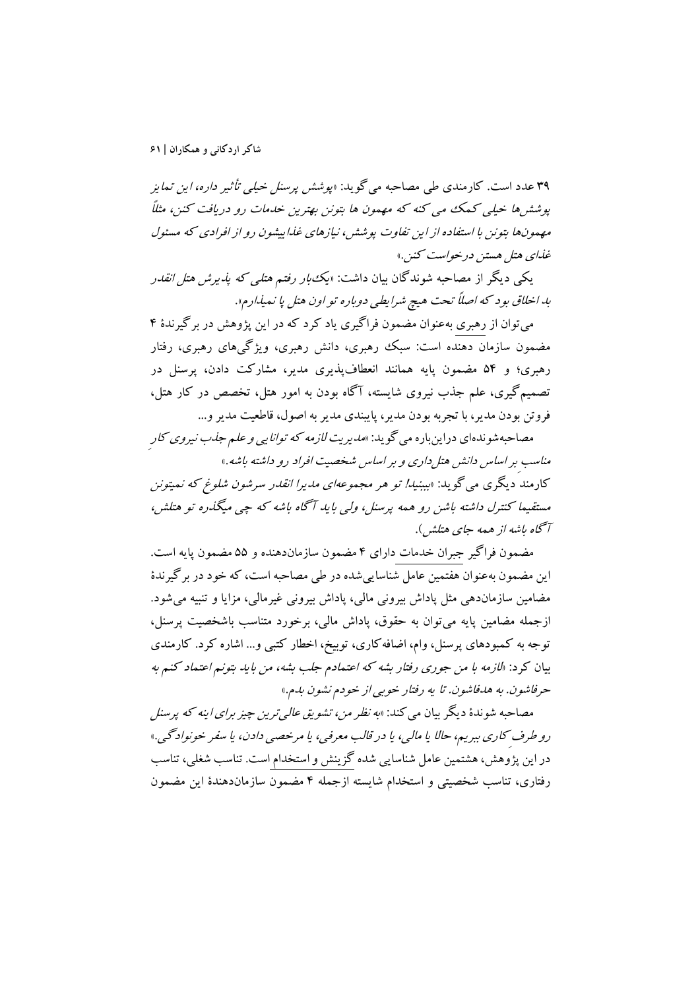39 عدد است. کارمندي طی مصاحبه میگوید: «پوشش پرسنل خیلی تأثیر داره، این تمایز پوششها خیلی کمک می کنه که مهمون ها بتونن بهترین خدمات رو دریافت کنن، مثلاً مهمونها بتونن با استفاده از این تفاوت پوشش، نیازهاي غذاییشون رو از افرادي که مسئول غذاي هتل هستن درخواست کنن.»

یکی دیگر از مصاحبه شوندگان بیان داشت: «یکبار رفتم هتلی که پذیرش هتل انقدر بد اخلاق بود که اصلاً تحت هیچ شرایطی دوباره تو اون هتل پا نمیذارم».

میتوان از رهبري بهعنوان مضمون فراگیري یاد کرد که در این پژوهش در برگیرندة 4 مضمون سازمان دهنده است: سبک رهبري، دانش رهبري، ویژگیهاي رهبري، رفتار رهبري؛ و 54 مضمون پایه همانند انعطافپذیري مدیر، مشارکت دادن، پرسنل در تصمیمگیري، علم جذب نیروي شایسته، آگاه بودن به امور هتل، تخصص در کار هتل، فروتن بودن مدیر، با تجربه بودن مدیر، پایبندي مدیر به اصول، قاطعیت مدیر و...

مصاحبهشوندهای دراینباره می گوید: *«مدیریت لازمه که توانایی و علم جذب نیروی کار*ِ مناسبِ براساس دانش هتلداري وبراساس شخصیت افراد روداشته باشه.» کارمند دیگري میگوید: «بببنید! تو هر مجموعهاي مدیرا انقدر سرشون شلوغ که نمیتونن مستقیما کنترل داشته باشن رو همه پرسنل، ولی باید آگاه باشه که چی میگذره تو هتلش، آگاه باشه ازهمه جاي هتلش).

مضمون فراگیر جبران خدمات داراي 4 مضمون سازماندهنده و 55 مضمون پایه است. این مضمون بهعنوان هفتمین عامل شناساییشده در طی مصاحبه است، که خود در برگیرندة مضامین سازماندهی مثل پاداش بیرونی مالی، پاداش بیرونی غیرمالی، مزایا و تنبیه میشود. ازجمله مضامین پایه میتوان به حقوق، پاداش مالی، برخورد متناسب باشخصیت پرسنل، توجه به کمبودهاي پرسنل، وام، اضافهکاري، توبیخ، اخطار کتبی و... اشاره کرد. کارمندي بیان کرد: «لازمه با من جوري رفتار بشه که اعتمادم جلب بشه، من باید بتونم اعتماد کنم به حرفاشون. به هدفاشون. تا یه رفتار خوبی از خودم نشون بدم.»

مصاحبه شوندهٔ دیگر بیان می کند: «ب*ه نظر من، تشویق عالی ترین چیز برای اینه که پرسنل* رو طرفِ کاري ببریم، حالا یا مالی، یادرقالب معرفی، یا مرخصی دادن، یا سفر خونوادگی.» در این پژوهش،هشتمین عامل شناسایی شده گزینش و استخدام است. تناسب شغلی، تناسب رفتاري، تناسب شخصیتی و استخدام شایسته ازجمله 4 مضمون سازماندهندة این مضمون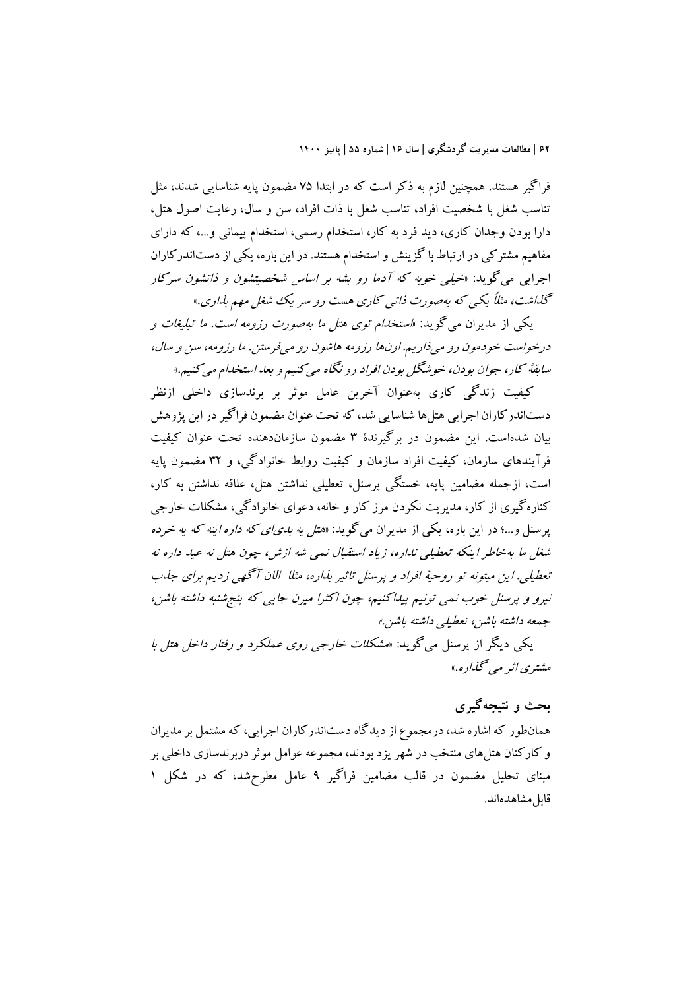فراگیر هستند. همچنین لازم به ذکر است که در ابتدا 75 مضمون پایه شناسایی شدند، مثل تناسب شغل با شخصیت افراد، تناسب شغل با ذات افراد، سن و سال، رعایت اصول هتل، دارا بودن وجدان کاري، دید فرد به کار، استخدام رسمی، استخدام پیمانی و،... که داراي مفاهیم مشترکی در ارتباط با گزینش و استخدام هستند.دراین باره، یکی از دستاندرکاران اجرایی میگوید: «خیلی خوبه که آدما رو بشه بر اساس شخصیتشون <sup>و</sup> ذاتشون سرکار گذاشت، مثلاً یکی که بهصورت ذاتی کاري هست رو سریک شغل مهم بذاري.»

یکی از مدیران میگوید: «استخدام توي هتل ما بهصورت رزومه است. ما تبلیغات <sup>و</sup> درخواست خودمون رومیذاریم. اونها رزومه هاشون رومیفرستن. ما رزومه، سن <sup>و</sup> سال، سابقۀ کار، جوان بودن، خوشگل بودن افراد رونگاه میکنیم وبعد استخدام میکنیم.»

کیفیت زندگی کاري بهعنوان آخرین عامل موثر بر برندسازي داخلی ازنظر دستاندرکاران اجرایی هتلها شناسایی شد، که تحت عنوان مضمون فراگیر در این پژوهش بیان شدهاست. این مضمون در برگیرندة 3 مضمون سازماندهنده تحت عنوان کیفیت فرآیندهاي سازمان، کیفیت افراد سازمان و کیفیت روابط خانوادگی، و 32 مضمون پایه است، ازجمله مضامین پایه، خستگی پرسنل، تعطیلی نداشتن هتل، علاقه نداشتن به کار، کنارهگیري از کار، مدیریت نکردن مرز کار و خانه، دعواي خانوادگی، مشکلات خارجی پرسنل و...؛ در این باره، یکی از مدیران میگوید: «*هتل یه بدی!ی که داره اینه که یه خرده* شغل ما بهخاطر اینکه تعطیلی نداره، زیاد استقبال نمی شه ازش، چون هتل نه عید داره نه تعطیلی. این میتونه تو روحیۀ افراد <sup>و</sup> پرسنل تاثیر بذاره، مثلا الان آگهی زدیم براي جذب نیرو <sup>و</sup> پرسنل خوب نمی تونیم پیداکنیم، چون اکثرا میرن جایی که پنجشنبه داشته باشن، جمعه داشته باشن، تعطیلی داشته باشن.»

یکی دیگر از پرسنل میگوید: «مشکلات خارجی روي عملکرد <sup>و</sup> رفتار داخل هتل با مشتري اثرمی گذاره.»

## **بحث و نتیجهگیري**

همانطور که اشاره شد،درمجموع از دیدگاه دستاندرکاران اجرایی، که مشتمل بر مدیران و کارکنان هتلهاي منتخب در شهر یزد بودند، مجموعه عوامل موثردربرندسازي داخلی بر مبناي تحلیل مضمون در قالب مضامین فراگیر 9 عامل مطرحشد، که در شکل 1 قابل مشاهدهاند.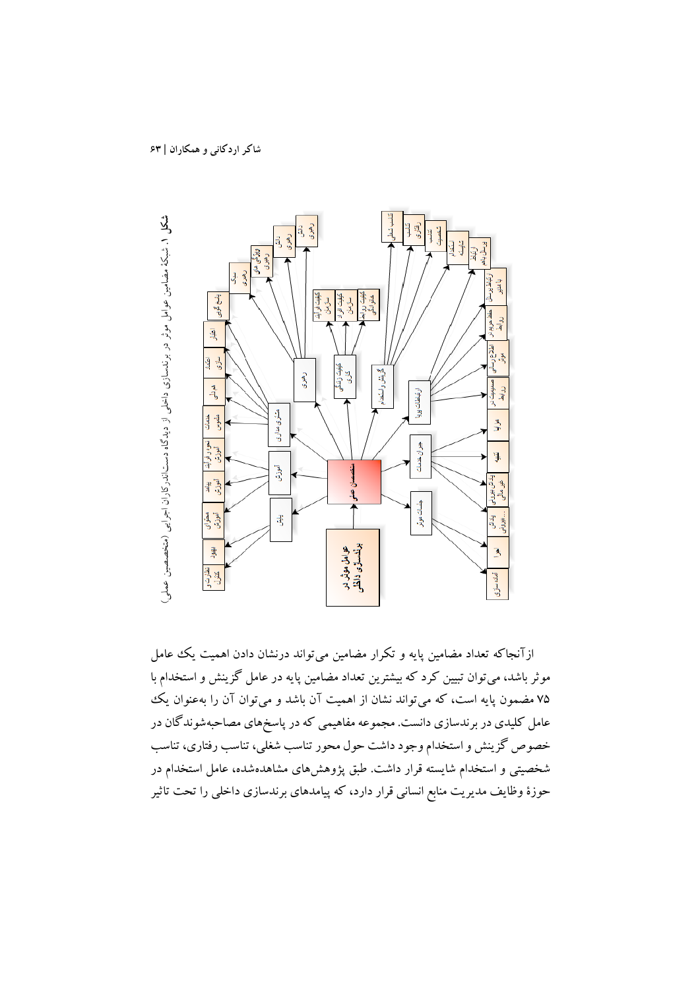

ازآنجاکه تعداد مضامین پایه و تکرار مضامین میتواند درنشان دادن اهمیت یک عامل موثرباشد، میتوان تبیین کرد که بیشترین تعداد مضامین پایه در عامل گزینش و استخدام با 75 مضمون پایه است، که میتواند نشان از اهمیت آن باشد و میتوان آن را بهعنوان یک عامل کلیدي در برندسازي دانست. مجموعه مفاهیمی که در پاسخهاي مصاحبهشوندگان در خصوص گزینش و استخدام وجود داشت حول محور تناسب شغلی، تناسب رفتاري، تناسب شخصیتی و استخدام شایسته قرار داشت. طبق پژوهشهاي مشاهدهشده، عامل استخدام در حوزة وظایف مدیریت منابع انسانی قرار دارد، که پیامدهاي برندسازي داخلی را تحت تاثیر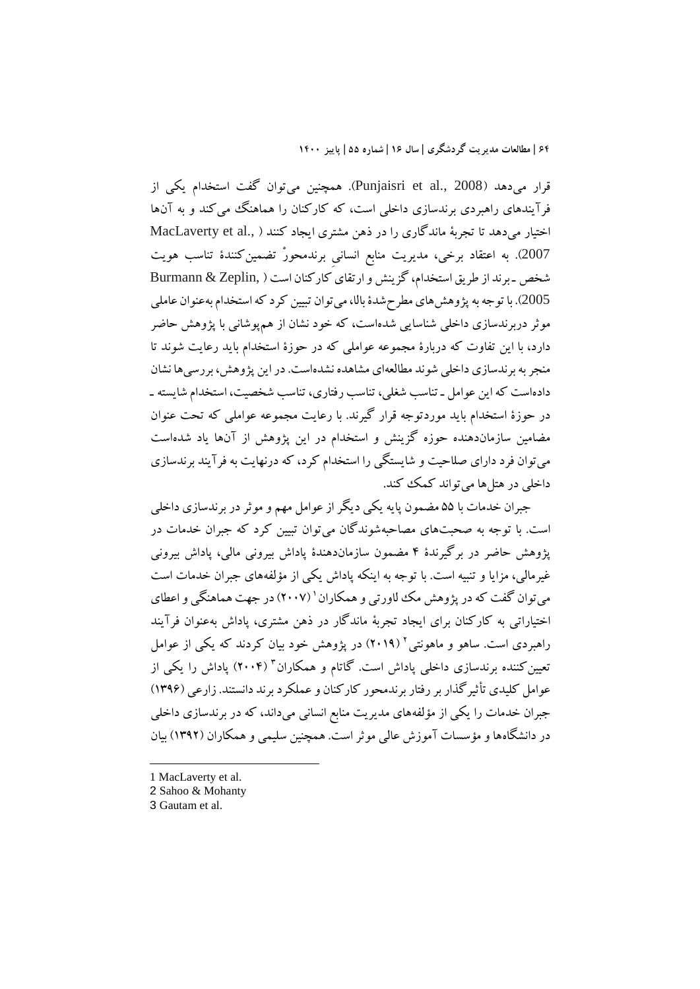قرار میدهد (2008 .Punjaisri et al., همچنین میتوان گفت استخدام یکی از فرآیندهاي راهبردي برندسازي داخلی است، که کارکنان را هماهنگ میکند و به آنها اختیار میدهد تا تجربۀ ماندگاري را در ذهن مشتري ایجاد کنند ( ,MacLaverty et al 2007). به اعتقاد برخی، مدیریت منابع انسانیِ برندمحورْ تضمینکنندة تناسب هویت شخص ـ برند از طریق استخدام، گزینش و ارتقايکارکنان است ( ,Zeplin & Burmann 2005). با توجهبه پژوهشهاي مطرحشدة بالا، میتوان تبیین کرد که استخدام بهعنوان عاملی موثر دربرندسازي داخلی شناسایی شدهاست، که خود نشان از همپوشانی با پژوهش حاضر دارد، با این تفاوت که دربارة مجموعه عواملی که در حوزة استخدام باید رعایت شوند تا منجر به برندسازي داخلی شوند مطالعهاي مشاهده نشدهاست.در این پژوهش، بررسیها نشان دادهاست که این عوامل ـ تناسب شغلی، تناسب رفتاري، تناسب شخصیت، استخدام شایسته ـ در حوزة استخدام باید موردتوجه قرار گیرند. با رعایت مجموعه عواملی که تحت عنوان مضامین سازماندهنده حوزه گزینش و استخدام در این پژوهش از آنها یاد شدهاست میتوان فرد داراي صلاحیت و شایستگی را استخدام کرد، که درنهایت به فرآیند برندسازي داخلی در هتلها میتواند کمک کند.

جبران خدمات با 55 مضمون پایه یکی دیگر از عوامل مهم و موثردر برندسازي داخلی است. با توجه به صحبتهاي مصاحبهشوندگان میتوان تبیین کرد که جبران خدمات در پژوهش حاضر در برگیرندة 4 مضمون سازماندهندة پاداش بیرونی مالی، پاداش بیرونی غیرمالی، مزایا و تنبیه است. با توجه به اینکه پاداش یکی از مؤلفههاي جبران خدمات است میتوان گفت که در پژوهش مک لااورتی و همکاران ' (۲۰۰۷) در جهت هماهنگی و اعطای اختیاراتی به کارکنان براي ایجاد تجربۀ ماندگار در ذهن مشتري، پاداش بهعنوان فرآیند راهبردی است. ساهو و ماهونتی <sup>۲</sup> (۲۰۱۹) در پژوهش خود بیان کردند که یکی از عوامل تعیین کننده برندسازی داخلی پاداش است. گاتام و همکاران " (۲۰۰۴) پاداش را یکی از عوامل کلیدی تأثیر گذار بر رفتار برندمحور کارکنان و عملکرد برند دانستند. زارعی (۱۳۹۶) جبران خدمات را یکی از مؤلفههاي مدیریت منابع انسانی میداند، که در برندسازي داخلی در دانشگاهها و مؤسسات آموزش عالی موثراست. همچنین سلیمی و همکاران (1392) بیان

- 1 MacLaverty et al.
- 2 Sahoo & Mohanty

 $\overline{\phantom{a}}$ 

<sup>3</sup> Gautam et al.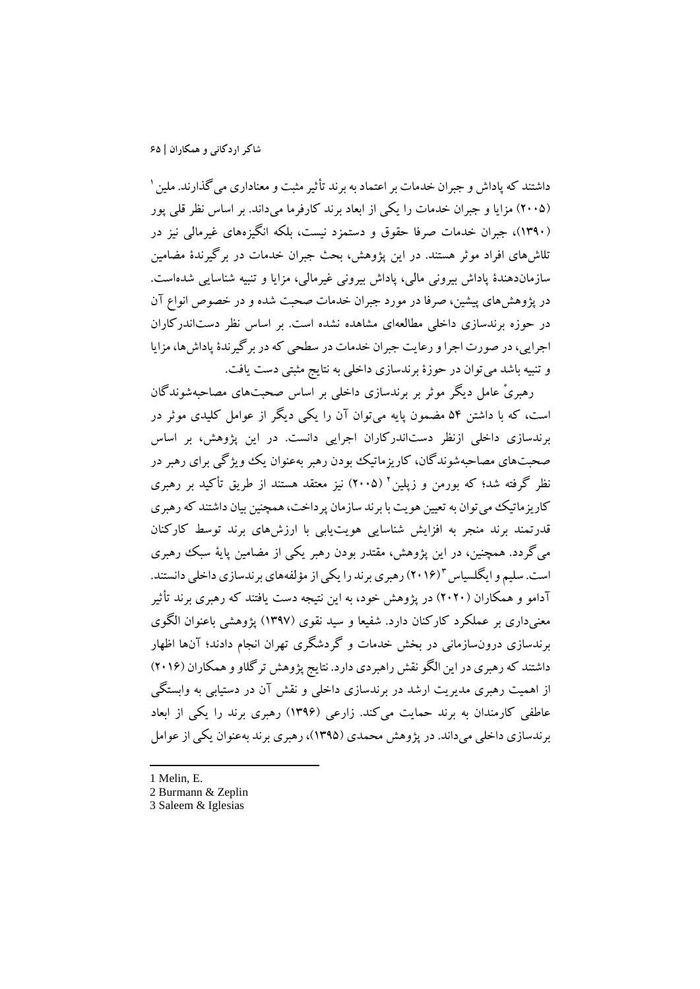1 داشتند که پاداش و جبران خدمات بر اعتماد به برند تأثیر مثبت و معناداري میگذارند. ملین (2005) مزایا و جبران خدمات را یکی از ابعاد برند کارفرما میداند. بر اساس نظر قلی پور (1390)، جبران خدمات صرفا حقوق و دستمزد نیست، بلکه انگیزههاي غیرمالی نیز در تلاشهاي افراد موثر هستند. در این پژوهش، بحث جبران خدمات در برگیرندة مضامین سازماندهندة پاداش بیرونی مالی، پاداش بیرونی غیرمالی، مزایا و تنبیه شناسایی شدهاست. در پژوهشهاي پیشین، صرفا در مورد جبران خدمات صحبت شده و در خصوص انواع آن در حوزه برندسازي داخلی مطالعهاي مشاهده نشده است. بر اساس نظر دستاندرکاران اجرایی،در صورت اجرا و رعایت جبران خدمات در سطحی که در برگیرندة پاداشها، مزایا و تنبیه باشد میتوان در حوزة برندسازي داخلی به نتایج مثبتی دست یافت.

رهبريْ عامل دیگر موثر بر برندسازي داخلی بر اساس صحبتهاي مصاحبهشوندگان است، که با داشتن 54 مضمون پایه میتوان آن را یکی دیگر از عوامل کلیدي موثر در برندسازي داخلی ازنظر دستاندرکاران اجرایی دانست. در این پژوهش، بر اساس صحبتهاي مصاحبهشوندگان، کاریزماتیک بودن رهبر بهعنوان یک ویژگی براي رهبر در نظر گرفته شد؛ که بورمن و زیلین آ (۲۰۰۵) نیز معتقد هستند از طریق تأکید بر رهبری کاریزماتیک می توان به تعیین هویت با برند سازمان پرداخت، همچنین بیان داشتند که رهبري قدرتمند برند منجر به افزایش شناسایی هویتیابی با ارزشهاي برند توسط کارکنان میگردد. همچنین، در این پژوهش، مقتدر بودن رهبر یکی از مضامین پایۀ سبک رهبري است. سلیم و ایگلسیاس "(۲۰۱۶) رهبری برند را یکی از مؤلفههای برندسازی داخلی دانستند. آدامو و همکاران (2020) در پژوهش خود، به این نتیجه دست یافتند که رهبري برند تأثیر معنیداري بر عملکرد کارکنان دارد. شفیعا و سید نقوي (1397) پژوهشی باعنوان الگوي برندسازي درونسازمانی در بخش خدمات و گردشگري تهران انجام دادند؛ آنها اظهار داشتند که رهبري در این الگو نقش راهبردي دارد. نتایج پژوهش ترگلاو و همکاران (2016) از اهمیت رهبري مدیریت ارشد در برندسازي داخلی و نقش آن در دستیابی به وابستگی عاطفی کارمندان به برند حمایت میکند. زارعی (1396) رهبري برند را یکی از ابعاد برندسازي داخلی میداند. در پژوهش محمدي (1395)،رهبري برند بهعنوان یکی از عوامل

1 Melin, E.

1

2 Burmann & Zeplin

<sup>3</sup> Saleem & Iglesias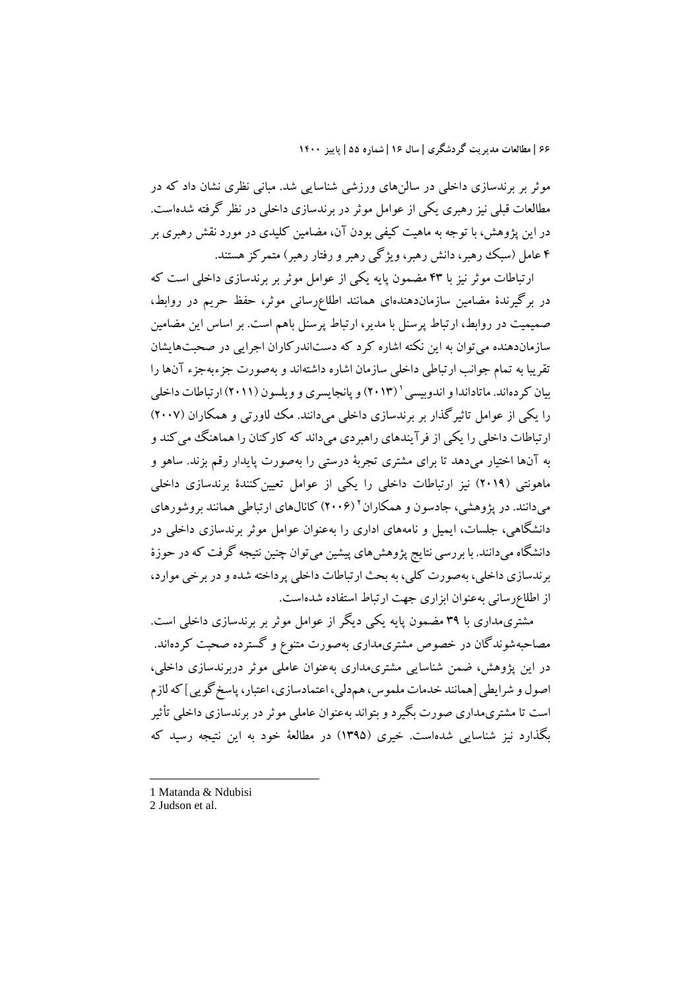موثر بر برندسازي داخلی در سالنهاي ورزشی شناسایی شد. مبانی نظري نشان داد که در مطالعات قبلی نیز رهبري یکی از عوامل موثر در برندسازي داخلی در نظر گرفته شدهاست. در این پژوهش، با توجه به ماهیت کیفی بودن آن، مضامین کلیدي در مورد نقش رهبري بر 4 عامل (سبک رهبر، دانش رهبر، ویژگی رهبر و رفتار رهبر) متمرکز هستند.

ارتباطات موثر نیز با 43 مضمون پایه یکی از عوامل موثر بر برندسازي داخلی است که در برگیرندة مضامین سازماندهندهاي همانند اطلاعرسانی موثر، حفظ حریم در روابط، صمیمیت در روابط، ارتباط پرسنل با مدیر، ارتباط پرسنل باهم است. بر اساس این مضامین سازماندهنده میتوان به این نکته اشاره کرد که دستاندرکاران اجرایی در صحبتهایشان تقریبا به تمام جوانب ارتباطی داخلی سازمان اشاره داشتهاند و بهصورت جزءبهجزء آنها را بیان کردهاند. ماتاداندا و اندوییسی ' (۱۳) (۹۰ بانجایسری و ویلسون (۲۰۱۱) ارتباطات داخلی را یکی از عوامل تاثیرگذار بر برندسازي داخلی میدانند. مک لاورتی و همکاران (2007) ارتباطات داخلی را یکی از فرآیندهاي راهبردي میداند که کارکنان را هماهنگ میکند و به آنها اختیار میدهد تا براي مشتري تجربۀ درستی را بهصورت پایدار رقم بزند. ساهو و ماهونتی (2019) نیز ارتباطات داخلی را یکی از عوامل تعیینکنندة برندسازي داخلی میدانند. در پژوهشی، جادسون و همکاران <sup>۲</sup> (۲۰۰۶) کانالهای ارتباطی همانند بروشورهای دانشگاهی، جلسات، ایمیل و نامههاي اداري را بهعنوان عوامل موثر برندسازي داخلی در دانشگاه میدانند. با بررسی نتایج پژوهشهاي پیشین میتوان چنین نتیجه گرفت که در حوزة برندسازي داخلی، بهصورت کلی، به بحث ارتباطات داخلی پرداخته شده و در برخی موارد، از اطلاعرسانی بهعنوان ابزاري جهت ارتباط استفاده شدهاست.

مشتريمداري با 39 مضمون پایه یکی دیگر از عوامل موثر بر برندسازي داخلی است. مصاحبهشوندگان در خصوص مشتريمداري بهصورت متنوع و گسترده صحبت کردهاند. در این پژوهش، ضمن شناسایی مشتريمداري بهعنوان عاملی موثر دربرندسازي داخلی، اصول و شرایطی [همانند خدمات ملموس، همدلی، اعتمادسازي، اعتبار، پاسخگویی] که لازم است تا مشتريمداري صورت بگیرد و بتواند بهعنوان عاملی موثردر برندسازي داخلی تأثیر بگذارد نیز شناسایی شدهاست. خیري (1395) در مطالعۀ خود به این نتیجه رسید که

1 Matanda & Ndubisi

**.** 

<sup>2</sup> Judson et al.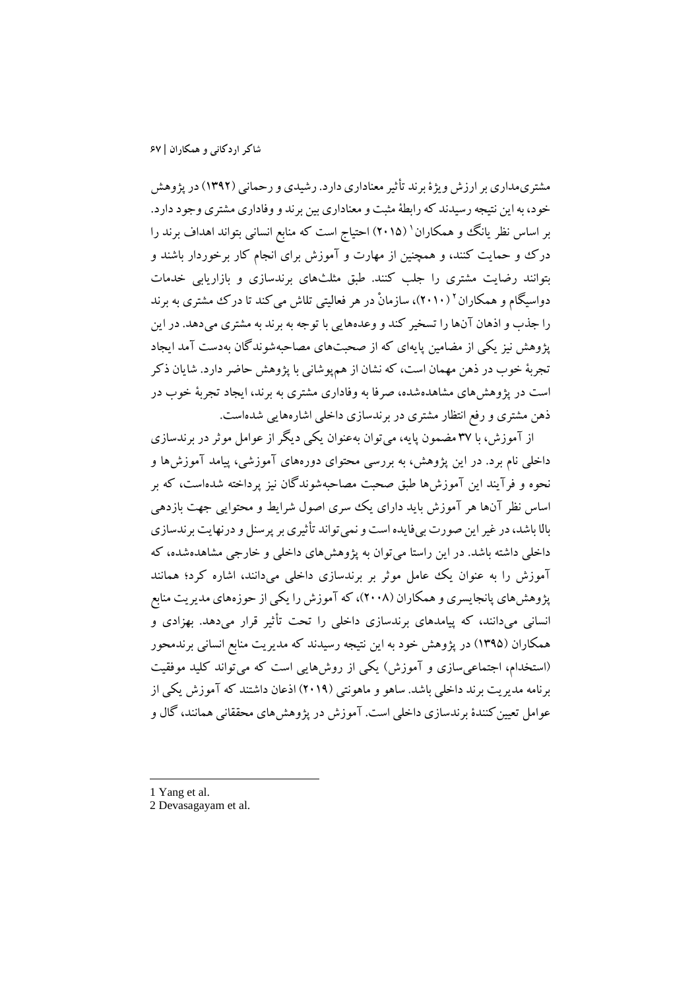مشتريمداري بر ارزش ویژة برند تأثیر معناداري دارد. رشیدي و رحمانی (1392) در پژوهش خود، به این نتیجه رسیدند که رابطۀمثبت ومعناداريبین برند ووفاداري مشتري وجود دارد. بر اساس نظر یانگ و همکاران ' (۲۰۱۵) احتیاج است که منابع انسانی بتواند اهداف برند را درك و حمایت کنند، و همچنین از مهارت و آموزش براي انجام کار برخوردار باشند و بتوانند رضایت مشتري را جلب کنند. طبق مثلثهاي برندسازي و بازاریابی خدمات دواسیگام و همکاران ۲۰۱۰)، سازمانْ در هر فعالیتی تلاش میکند تا درک مشتری به برند را جذب و اذهان آنها را تسخیر کند و وعدههایی با توجه به برند به مشتري میدهد. در این پژوهش نیز یکی از مضامین پایهاي که از صحبتهاي مصاحبهشوندگان بهدست آمد ایجاد تجربۀ خوب در ذهن مهمان است، که نشان از همپوشانی با پژوهش حاضر دارد. شایان ذکر است در پژوهشهاي مشاهدهشده، صرفا به وفاداري مشتري به برند، ایجاد تجربۀ خوب در ذهن مشتري و رفع انتظار مشتري در برندسازي داخلی اشارههایی شدهاست.

از آموزش، با 37 مضمون پایه، میتوان بهعنوان یکی دیگر از عوامل موثردر برندسازي داخلی نام برد. در این پژوهش، به بررسی محتواي دورههاي آموزشی، پیامد آموزشها و نحوه و فرآیند این آموزشها طبق صحبت مصاحبهشوندگان نیز پرداخته شدهاست، که بر اساس نظر آنها هر آموزش باید داراي یک سري اصول شرایط و محتوایی جهت بازدهی بالا باشد، در غیر این صورت بیفایده است و نمیتواند تأثیري بر پرسنل و درنهایت برندسازي داخلی داشته باشد. در این راستا میتوان به پژوهشهاي داخلی و خارجی مشاهدهشده، که آموزش را به عنوان یک عامل موثر بر برندسازي داخلی میدانند، اشاره کرد؛ همانند پژوهشهاي پانجایسري و همکاران (2008)، که آموزش را یکی از حوزههاي مدیریت منابع انسانی میدانند، که پیامدهاي برندسازي داخلی را تحت تأثیر قرار میدهد. بهزادي و همکاران (1395) در پژوهش خود به این نتیجه رسیدند که مدیریت منابع انسانی برندمحور (استخدام، اجتماعیسازي و آموزش) یکی از روشهایی است که میتواند کلید موفقیت برنامه مدیریت برند داخلی باشد. ساهو و ماهونتی (2019) اذعان داشتند که آموزش یکی از عوامل تعیین کنندهٔ برندسازی داخلی است. آموزش در پژوهشهای محققانی همانند، گال و

1 Yang et al.

**.** 

2 Devasagayam et al.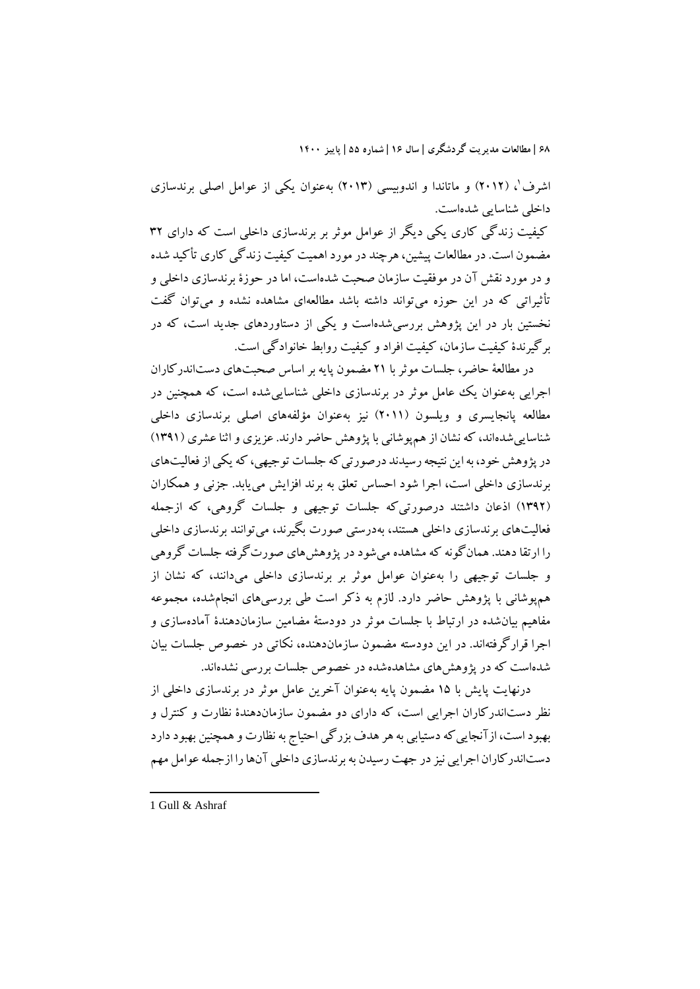اشرف'، (۲۰۱۲) و ماتاندا و اندوبیسی (۲۰۱۳) بهعنوان یکی از عوامل اصلی برندسازی داخلی شناسایی شدهاست.

کیفیت زندگی کاري یکی دیگر از عوامل موثر بر برندسازي داخلی است که داراي 32 مضمون است. در مطالعات پیشین،هرچند در مورد اهمیت کیفیت زندگی کاري تأکید شده و در مورد نقش آن در موفقیت سازمان صحبت شدهاست، اما در حوزة برندسازي داخلی و تأثیراتی که در این حوزه میتواند داشته باشد مطالعهاي مشاهده نشده و میتوان گفت نخستین بار در این پژوهش بررسیشدهاست و یکی از دستاوردهاي جدید است، که در برگیرندة کیفیت سازمان، کیفیت افراد و کیفیت روابط خانوادگی است.

در مطالعۀ حاضر، جلسات موثربا 21 مضمون پایه بر اساس صحبتهاي دستاندرکاران اجرایی بهعنوان یک عامل موثر در برندسازي داخلی شناساییشده است، که همچنین در مطالعه پانجایسري و ویلسون (2011) نیز بهعنوان مؤلفههاي اصلی برندسازي داخلی شناساییشدهاند، که نشان از همپوشانی با پژوهش حاضر دارند. عزیزي و اثنا عشري (1391) در پژوهش خود، به این نتیجه رسیدند درصورتیکه جلسات توجیهی، که یکی از فعالیتهاي برندسازي داخلی است، اجرا شود احساس تعلق به برند افزایش مییابد. جزنی و همکاران (1392) اذعان داشتند درصورتیکه جلسات توجیهی و جلسات گروهی، که ازجمله فعالیتهاي برندسازي داخلی هستند، بهدرستی صورت بگیرند، میتوانند برندسازي داخلی را ارتقا دهند. همانگونه که مشاهده میشود در پژوهشهاي صورتگرفته جلسات گروهی و جلسات توجیهی را بهعنوان عوامل موثر بر برندسازي داخلی میدانند، که نشان از همپوشانی با پژوهش حاضر دارد. لازم به ذکر است طی بررسیهاي انجامشده، مجموعه مفاهیم بیانشده در ارتباط با جلسات موثر در دودستۀ مضامین سازماندهندة آمادهسازي و اجرا قرارگرفتهاند. در این دودسته مضمون سازماندهنده، نکاتی در خصوص جلسات بیان شدهاست که در پژوهشهاي مشاهدهشده در خصوص جلسات بررسی نشدهاند.

درنهایت پایش با 15 مضمون پایه بهعنوان آخرین عامل موثر در برندسازي داخلی از نظر دستاندرکاران اجرایی است، که داراي دو مضمون سازماندهندة نظارت و کنترل و بهبود است، ازآنجاییکه دستیابی به هر هدف بزرگی احتیاج به نظارت و همچنین بهبود دارد دستاندرکاران اجرایی نیز در جهت رسیدن به برندسازي داخلی آنها را ازجمله عوامل مهم

1 Gull & Ashraf

**.**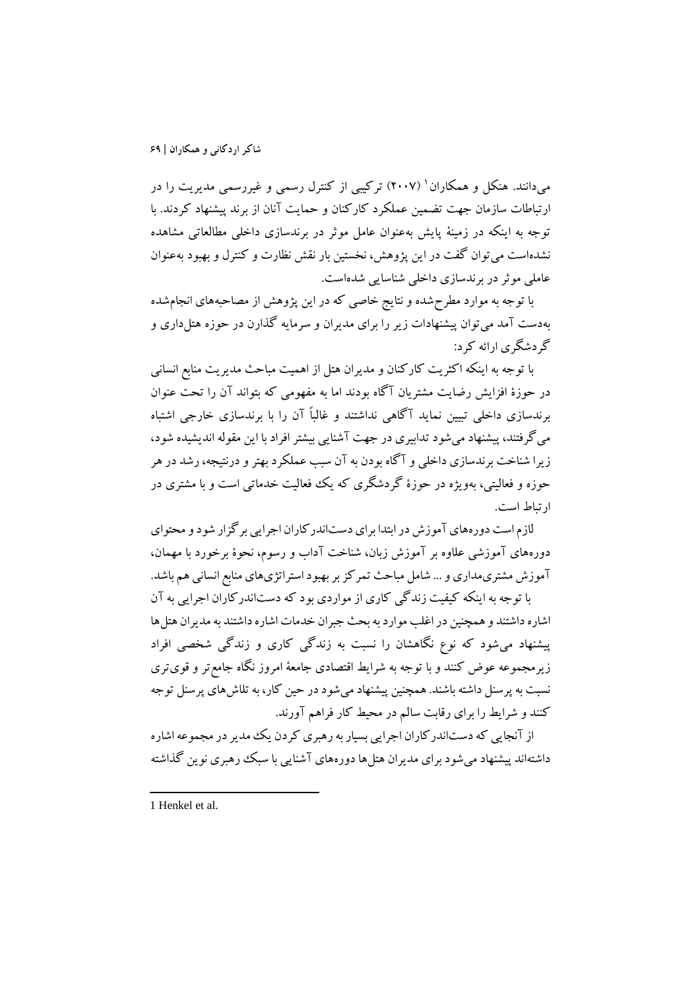میدانند. هنکل و همکاران (2007) ترکیبی از کنترل رسمی و غیررسمی مدیریت را در <sup>1</sup> ارتباطات سازمان جهت تضمین عملکرد کارکنان و حمایت آنان از برند پیشنهاد کردند. با توجه به اینکه در زمینۀ پایش بهعنوان عامل موثر در برندسازي داخلی مطالعاتی مشاهده نشدهاست میتوان گفت در این پژوهش، نخستین بار نقش نظارت و کنترل و بهبود بهعنوان عاملی موثردر برندسازي داخلی شناسایی شدهاست.

با توجه به موارد مطرحشده و نتایج خاصی که در این پژوهش از مصاحبههاي انجامشده بهدست آمد میتوان پیشنهادات زیر را براي مدیران و سرمایه گذارن در حوزه هتلداري و گردشگري ارائه کرد:

با توجه به اینکه اکثریت کارکنان و مدیران هتل از اهمیت مباحث مدیریت منابع انسانی در حوزة افزایش رضایت مشتریان آگاه بودند اما به مفهومی که بتواند آن را تحت عنوان برندسازي داخلی تبیین نماید آگاهی نداشتند و غالباً آن را با برندسازي خارجی اشتباه میگرفتند، پیشنهاد میشود تدابیري در جهت آشنایی بیشتر افراد با این مقوله اندیشیده شود، زیرا شناخت برندسازي داخلی و آگاه بودن به آن سبب عملکرد بهتر و درنتیجه،رشد در هر حوزه و فعالیتی، بهویژه در حوزة گردشگري که یک فعالیت خدماتی است و با مشتري در ارتباط است.

لازم است دورههاي آموزش در ابتدا براي دستاندرکاران اجرایی برگزار شود و محتواي دورههاي آموزشی علاوه بر آموزش زبان، شناخت آداب و رسوم، نحوة برخورد با مهمان، آموزش مشتريمداري و... شامل مباحث تمرکز بر بهبود استراتژيهاي منابع انسانی هم باشد.

با توجه به اینکه کیفیت زندگی کاري از مواردي بود که دستاندرکاران اجرایی به آن اشاره داشتند و همچنین در اغلب موارد به بحث جبران خدمات اشاره داشتند به مدیران هتلها پیشنهاد میشود که نوع نگاهشان را نسبت به زندگی کاري و زندگی شخصی افراد زیرمجموعه عوض کنند و با توجه به شرایط اقتصادي جامعۀ امروز نگاه جامعتر و قويتري نسبت به پرسنل داشته باشند. همچنین پیشنهاد میشود در حین کار، به تلاشهاي پرسنل توجه کنند و شرایط را براي رقابت سالم در محیط کار فراهم آورند.

از آنجایی که دستاندرکاران اجرایی بسیار به رهبري کردن یک مدیر در مجموعه اشاره داشتهاند پیشنهاد میشود برای مدیران هتل۹ها دورههای آشنایی با سبک ررهبری نوین گذاشته

**.** 

<sup>1</sup> Henkel et al.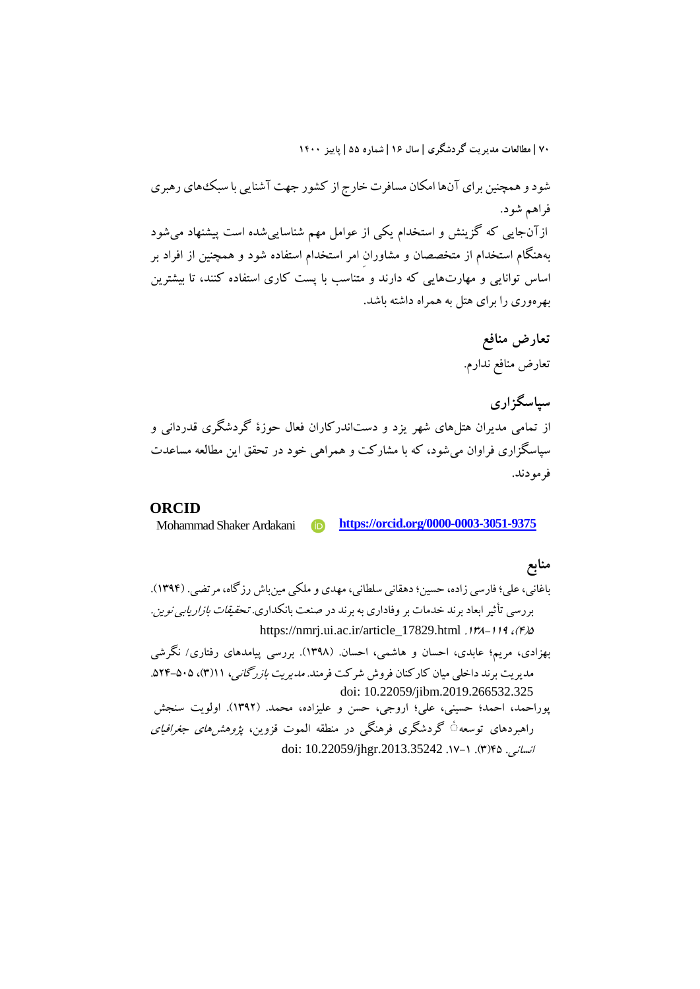شودو همچنین براي آنها امکان مسافرت خارج از کشور جهت آشنایی با سبکهاي رهبري فراهم شود. ازآنجایی که گزینش و استخدام یکی از عوامل مهم شناساییشده است پیشنهاد میشود بههنگام استخدام از متخصصان و مشاورانِ امر استخدام استفاده شود و همچنین از افراد بر اساس توانایی و مهارتهایی که دارند و متناسب با پست کاري استفاده کنند، تا بیشترین بهرهوري را براي هتل به همراه داشته باشد.

> **تعارض منافع** تعارض منافع ندارم.

**سپاسگزاري** از تمامی مدیران هتلهاي شهر یزد و دستاندرکاران فعال حوزة گردشگري قدردانی و سپاسگزاري فراوان میشود، که با مشارکت و همراهی خود در تحقق این مطالعه مساعدت فرمودند.

### **ORCID**

Mohammad Shaker Ardakani **https://orcid.org/0000-0003-3051-9375**

## **منابع**

باغانی،علی؛ فارسی زاده، حسین؛دهقانی سلطانی، مهدي و ملکی مینباش رزگاه، مرتضی. (1394). بررسی تأثیر ابعاد برند خدمات بر وفاداری به برند در صنعت بانکداری*. تحقیقات بازاریابی نوین.* https://nmrj.ui.ac.ir/article\_17829.html .17A-119 ،(F)b

بهزادي، مریم؛ عابدي، احسان و هاشمی، احسان. (1398). بررسی پیامدهاي رفتاري/ نگرشی مدیریت برند داخلی میان کارکنان فروش شرکت فرمند. *مدیریت بازرگانی، ۱*۱(۳)، ۵۰۵–۵۲۴. doi: 10.22059/jibm.2019.266532.325

پوراحمد، احمد؛ حسینی، علی؛ اروجی، حسن و علیزاده، محمد. (1392). اولویت سنجش راهبردهای توسعه ٔ گردشگری فرهنگی در منطقه الموت قزوین، *پژوهشرهای جغرافیای* doi: 10.22059/jhgr.2013.35242 .17-1 .(3)45 .انسانی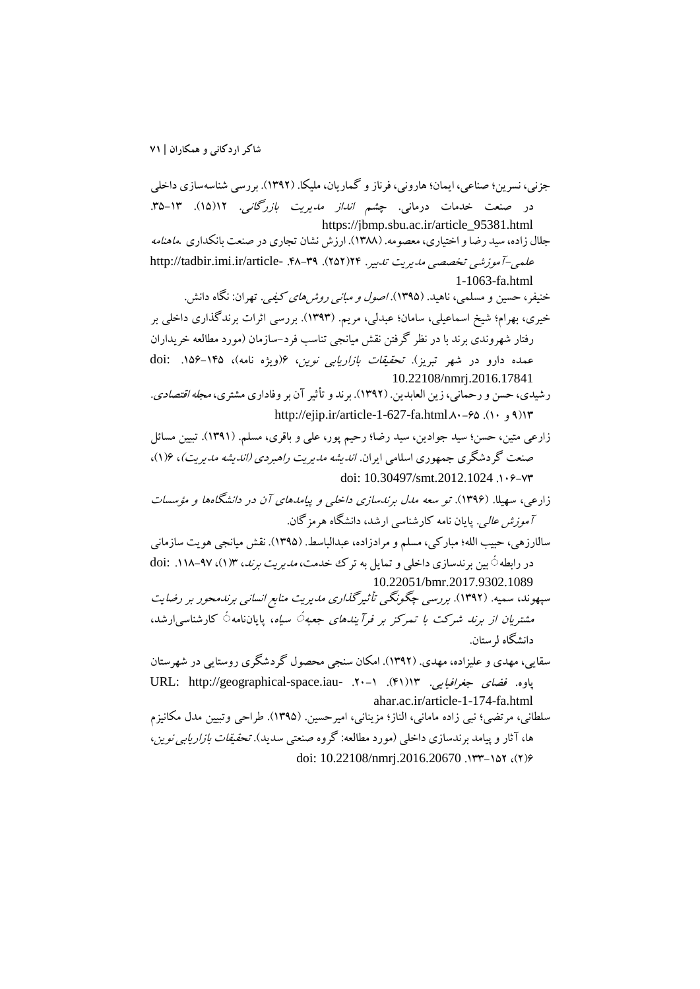جزنی، نسرین؛ صناعی، ایمان؛ هارونی، فرناز و گماریان، ملیکا. (۱۳۹۲). بررسی شناسهسازی داخلی در صنعت خدمات درمانی. چ*شم انداز مدیریت بازرگانی.* ۱۲(۱۵). ۱۳-۳۵. https://jbmp.sbu.ac.ir/article\_95381.html جلال زاده، سید رضا و اختیاري، معصومه. (1388). ارزش نشان تجاري در صنعت بانکداري .ماهنامه علمی-آموزشی تخصصی مدیریت تدبیر. ۲۹(۲۵۲). ۲۹-۴۸. -http://tadbir.imi.ir/article 1-1063-fa.html خنیفر، حسین و مسلمی، ناهید. (1395). اصول و مبانی روشهاي کیفی. تهران: نگاه دانش. خیري، بهرام؛ شیخ اسماعیلی، سامان؛ عبدلی، مریم. (1393). بررسی اثرات برندگذاري داخلی بر رفتار شهروندي برند با در نظر گرفتن نقش میانجی تناسب فرد-سازمان (مورد مطالعه خریداران عمده دارو در شهر تبریز). تح*قیقات بازاریابی نوین، ۶(ویژه نامه)، ۱۴۵-۱۵۶.* :doi 10.22108/nmrj.2016.17841 رشیدي، حسن و رحمانی، زین العابدین. (1392). برند و تأثیرآن بر وفاداري مشتري، مجله اقتصادي. http://ejip.ir/article-1-627-fa.html $\lambda$  $-82$ .(10 و 9) زارعی متین، حسن؛ سید جوادین، سید رضا؛ رحیم پور، علی و باقري، مسلم. (1391). تبیین مسائل صنعت گردشگري جمهوري اسلامی ایران. اندیشه مدیریت راهبردي (اندیشه مدیریت)، 6(1)، doi:  $10.30497/\text{smt}.2012.1024$  .1.8-Y زارعی، سهیلا. (1396). تو سعه مدل برندسازي داخلی و پیامدهاي آن در دانشگاهها و مؤسسات آموزش عالی. پایان نامه کارشناسی ارشد، دانشگاه هرمزگان. سالارزهی، حبیب الله؛ مبارکی، مسلم و مرادزاده، عبدالباسط. (1395). نقش میانجی هویت سازمانی در رابطه ٔ بین برندسازی داخلی و تمایل به ترك خدمت، *مدیریت برند*، ۱۳(۱)، ۹۷-۱۱۸. :doi 10.22051/bmr.2017.9302.1089 سپهوند، سمیه. (1392). بررسی چگونگی تأثیرگذاري مدیریت منابع انسانی برندمحور بر رضایت مشتر*یان از برند شرکت با تمرکز بر فرآیندهای جعبه ٔ سیاه*، پایاننامه ٔ کارشناسی|رشد، دانشگاه لرستان. سقایی، مهدي و علیزاده، مهدي. (1392). امکان سنجی محصول گردشگري روستایی در شهرستان URL: http://geographical-space.iau- . ٢٠-١ . (41)13 .URL: http://geographical-space ahar.ac.ir/article-1-174-fa.html سلطانی، مرتضی؛ نبی زاده مامانی، الناز؛ مزینانی، امیرحسین. (1395). طراحی وتبیین مدل مکانیزم ها، آثار و پیامد برندسازي داخلی (مورد مطالعه: گروه صنعتی سدید). تحقیقات بازاریابی نوین، doi: 10.22108/nmrj.2016.20670 .1۳۳-1۵۲ .job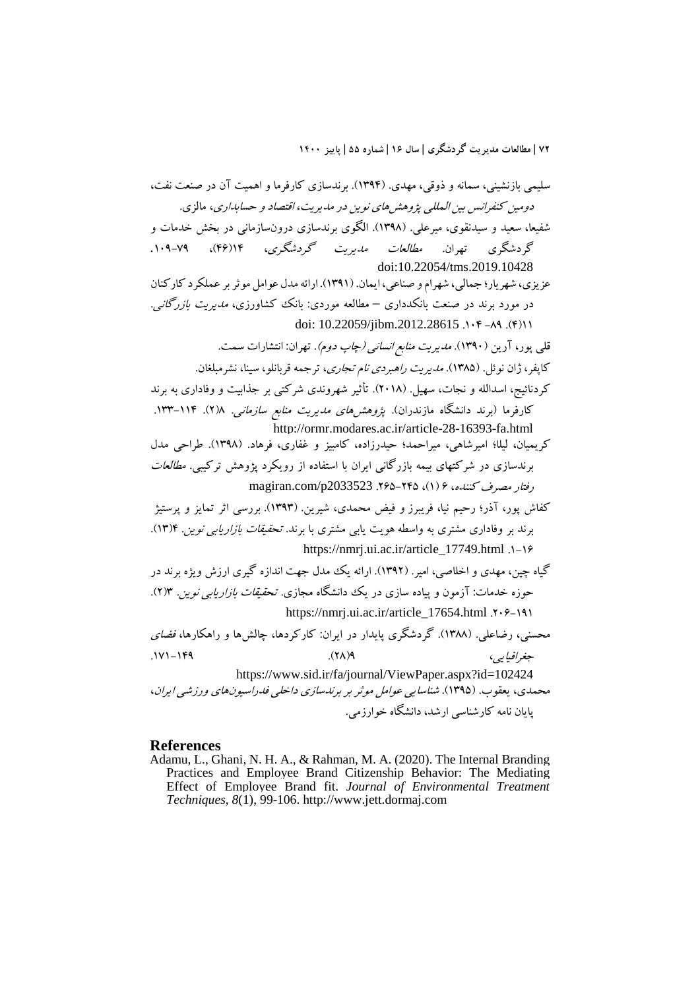سلیمی بازنشینی، سمانه و ذوقی، مهدي. (1394). برندسازي کارفرما و اهمیت آن در صنعت نفت، دومین کنفرانس بین المللی پژوهشهاي نوین در مدیریت، اقتصاد و حسابداري، مالزي. شفیعا، سعید و سیدنقوي، میرعلی. (1398). الگوي برندسازي درونسازمانی در بخش خدمات و گردشگري تهران. مطالعات مدیریت گردشگري، 14(46)، .109-79 doi:10.22054/tms.2019.10428 عزیزي، شهریار؛ جمالی، شهرام و صناعی، ایمان. (1391). ارائه مدل عوامل موثربر عملکرد کارکنان در مورد برند در صنعت بانکدداري – مطالعه موردي: بانک کشاورزي، مدیریت بازرگانی. doi: 10.22059/jibm.2012.28615 .104 -89 .(4)11 قلی پور، آرین (1390). مدیریت منابع انسانی (چاپ دوم). تهران: انتشارات سمت. کاپفر، ژان نوئل. (1385). مدیریت راهبردي نام تجاري، ترجمه قربانلو، سینا، نشرمبلغان. کردنائیج، اسدالله و نجات، سهیل. (2018). تأثیر شهروندي شرکتی بر جذابیت و وفاداري به برند کارفرما (برند دانشگاه مازندران). پژوهشهاي مدیریت منابع سازمانی. 8(2). .133-114 http://ormr.modares.ac.ir/article-28-16393-fa.html کریمیان، لیلا؛ امیرشاهی، میراحمد؛ حیدرزاده، کامبیز و غفاري، فرهاد. (1398). طراحی مدل برندسازي در شرکتهاي بیمه بازرگانی ایران با استفاده از رویکرد پژوهش ترکیبی. مطالعات رفتار مصرف کننده، 6 (1)، .265-245 2033523p/com.magiran کفاش پور، آذر؛ رحیم نیا، فریبرز و فیض محمدي، شیرین. (1393). بررسی اثر تمایز و پرستیژ برند بر وفاداري مشتري به واسطه هویت یابی مشتري با برند. تحقیقات بازاریابی نوین. 4(13). https://nmrj.ui.ac.ir/article\_17749.html .1-16 گیاه چین، مهدي و اخلاصی، امیر. (1392). ارائه یک مدل جهت اندازه گیري ارزش ویژه برند در حوزه خدمات: آزمون و پیاده سازي در یک دانشگاه مجازي. تحقیقات بازاریابی نوین. 3(2). https://nmrj.ui.ac.ir/article\_17654.html .206-191 محسنی، رضاعلی. (1388). گردشگري پایدار در ایران: کارکردها، چالشها و راهکارها، فضاي جغرافیایی، 9(28). .171-149 https://www.sid.ir/fa/journal/ViewPaper.aspx?id=102424 محمدي، یعقوب. (1395). شناسایی عوامل موثر بر برندسازي داخلی فدراسیونهاي ورزشی ایران، پایان نامه کارشناسی ارشد، دانشگاه خوارزمی.

### **References**

Adamu, L., Ghani, N. H. A., & Rahman, M. A. (2020). The Internal Branding Practices and Employee Brand Citizenship Behavior: The Mediating Effect of Employee Brand fit. *Journal of Environmental Treatment Techniques*, *8*(1), 99-106. http://www.jett.dormaj.com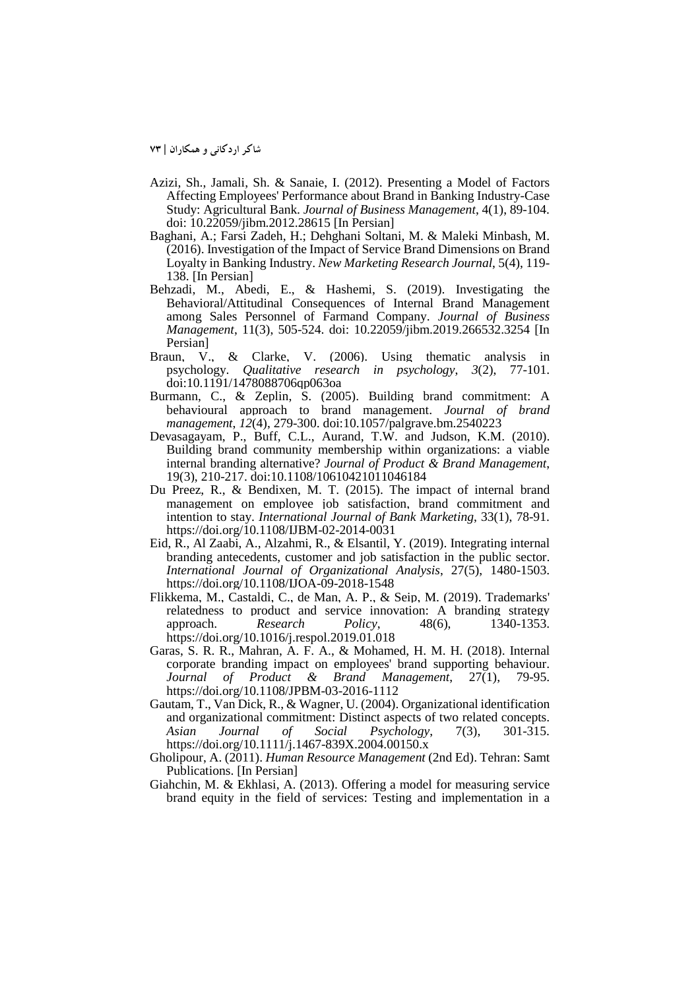**شاکر اردکانی و همکاران | 73**

- Azizi, Sh., Jamali, Sh. & Sanaie, I. (2012). Presenting a Model of Factors Affecting Employees' Performance about Brand in Banking Industry-Case Study: Agricultural Bank. *Journal of Business Management*, 4(1), 89-104. doi: 10.22059/jibm.2012.28615 [In Persian]
- Baghani, A.; Farsi Zadeh, H.; Dehghani Soltani, M. & Maleki Minbash, M. (2016). Investigation of the Impact of Service Brand Dimensions on Brand Loyalty in Banking Industry. *New Marketing Research Journal*, 5(4), 119- 138. [In Persian]
- Behzadi, M., Abedi, E., & Hashemi, S. (2019). Investigating the Behavioral/Attitudinal Consequences of Internal Brand Management among Sales Personnel of Farmand Company. *Journal of Business Management*, 11(3), 505-524. doi: 10.22059/jibm.2019.266532.3254 [In Persian]
- Braun, V., & Clarke, V. (2006). Using thematic analysis in psychology. *Qualitative research in psychology*, *3*(2), 77-101. doi:10.1191/1478088706qp063oa
- Burmann, C., & Zeplin, S. (2005). Building brand commitment: A behavioural approach to brand management. *Journal of brand management*, *12*(4), 279-300. doi:10.1057/palgrave.bm.2540223
- Devasagayam, P., Buff, C.L., Aurand, T.W. and Judson, K.M. (2010). Building brand community membership within organizations: a viable internal branding alternative? *Journal of Product & Brand Management*, 19(3), 210-217. doi:10.1108/10610421011046184
- Du Preez, R., & Bendixen, M. T. (2015). The impact of internal brand management on employee job satisfaction, brand commitment and intention to stay. *International Journal of Bank Marketing*, 33(1), 78-91. https://doi.org/10.1108/IJBM-02-2014-0031
- Eid, R., Al Zaabi, A., Alzahmi, R., & Elsantil, Y. (2019). Integrating internal branding antecedents, customer and job satisfaction in the public sector. *International Journal of Organizational Analysis*, 27(5), 1480-1503. https://doi.org/10.1108/IJOA-09-2018-1548
- Flikkema, M., Castaldi, C., de Man, A. P., & Seip, M. (2019). Trademarks' relatedness to product and service innovation: A branding strategy approach. Research Policy, 48(6), 1340-1353. approach. *Research Policy*, 48(6), 1340-1353. https://doi.org/10.1016/j.respol.2019.01.018
- Garas, S. R. R., Mahran, A. F. A., & Mohamed, H. M. H. (2018). Internal corporate branding impact on employees' brand supporting behaviour. *Journal of Product & Brand Management*, 27(1), 79-95. https://doi.org/10.1108/JPBM-03-2016-1112
- Gautam, T., Van Dick, R., & Wagner, U. (2004). Organizational identification and organizational commitment: Distinct aspects of two related concepts.<br>Asian Journal of Social Psychology, 7(3), 301-315. *Asian Journal of Social Psychology*, 7(3), 301-315. https://doi.org/10.1111/j.1467-839X.2004.00150.x
- Gholipour, A. (2011). *Human Resource Management* (2nd Ed). Tehran: Samt Publications. [In Persian]
- Giahchin, M. & Ekhlasi, A. (2013). Offering a model for measuring service brand equity in the field of services: Testing and implementation in a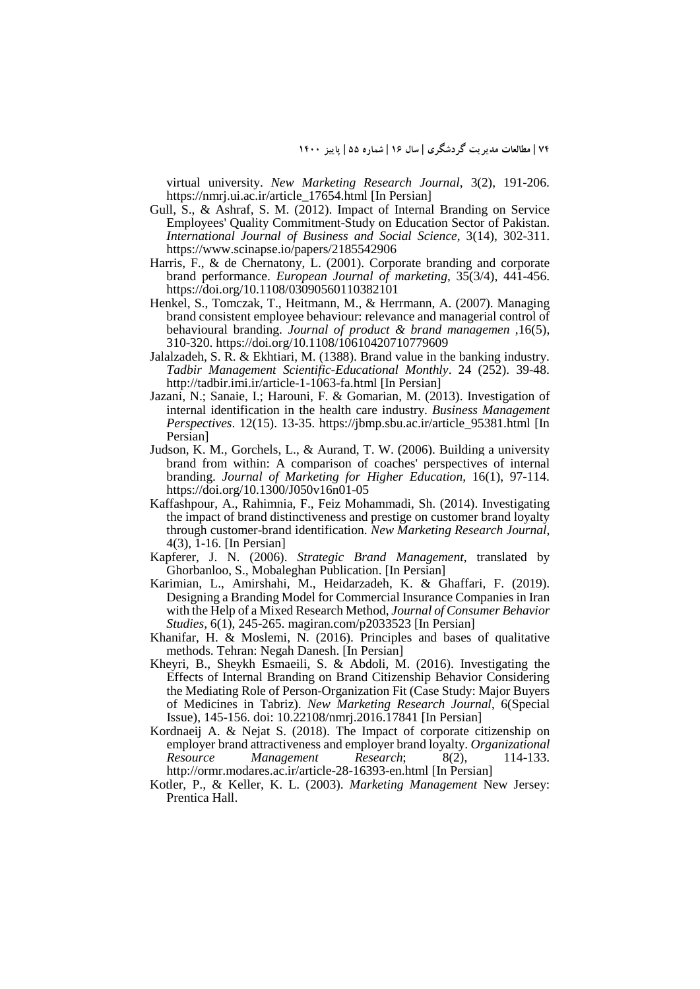virtual university. *New Marketing Research Journal*, 3(2), 191-206. https://nmrj.ui.ac.ir/article\_17654.html [In Persian]

- Gull, S., & Ashraf, S. M. (2012). Impact of Internal Branding on Service Employees' Quality Commitment-Study on Education Sector of Pakistan. *International Journal of Business and Social Science*, 3(14), 302-311. https://www.scinapse.io/papers/2185542906
- Harris, F., & de Chernatony, L. (2001). Corporate branding and corporate brand performance. *European Journal of marketing*, 35(3/4), 441-456. https://doi.org/10.1108/03090560110382101
- Henkel, S., Tomczak, T., Heitmann, M., & Herrmann, A. (2007). Managing brand consistent employee behaviour: relevance and managerial control of behavioural branding. *Journal of product & brand managemen* ,16(5), 310-320. https://doi.org/10.1108/10610420710779609
- Jalalzadeh, S. R. & Ekhtiari, M. (1388). Brand value in the banking industry. *Tadbir Management Scientific-Educational Monthly*. 24 (252). 39-48. http://tadbir.imi.ir/article-1-1063-fa.html [In Persian]
- Jazani, N.; Sanaie, I.; Harouni, F. & Gomarian, M. (2013). Investigation of internal identification in the health care industry. *Business Management Perspectives*. 12(15). 13-35. https://jbmp.sbu.ac.ir/article\_95381.html [In Persian]
- Judson, K. M., Gorchels, L., & Aurand, T. W. (2006). Building a university brand from within: A comparison of coaches' perspectives of internal branding. *Journal of Marketing for Higher Education*, 16(1), 97-114. https://doi.org/10.1300/J050v16n01-05
- Kaffashpour, A., Rahimnia, F., Feiz Mohammadi, Sh. (2014). Investigating the impact of brand distinctiveness and prestige on customer brand loyalty through customer-brand identification. *New Marketing Research Journal*, 4(3), 1-16. [In Persian]
- Kapferer, J. N. (2006). *Strategic Brand Management*, translated by Ghorbanloo, S., Mobaleghan Publication. [In Persian]
- Karimian, L., Amirshahi, M., Heidarzadeh, K. & Ghaffari, F. (2019). Designing a Branding Model for Commercial Insurance Companies in Iran with the Help of a Mixed Research Method, *Journal of Consumer Behavior Studies,* 6(1), 245-265. magiran.com/p2033523 [In Persian]
- Khanifar, H. & Moslemi, N. (2016). Principles and bases of qualitative methods. Tehran: Negah Danesh. [In Persian]
- Kheyri, B., Sheykh Esmaeili, S. & Abdoli, M. (2016). Investigating the Effects of Internal Branding on Brand Citizenship Behavior Considering the Mediating Role of Person-Organization Fit (Case Study: Major Buyers of Medicines in Tabriz). *New Marketing Research Journal*, 6(Special Issue), 145-156. doi: 10.22108/nmrj.2016.17841 [In Persian]
- Kordnaeij A. & Nejat S. (2018). The Impact of corporate citizenship on employer brand attractiveness and employer brand loyalty. *Organizational Resource Management Research*; 8(2), 114-133. http://ormr.modares.ac.ir/article-28-16393-en.html [In Persian]
- Kotler, P., & Keller, K. L. (2003). *Marketing Management* New Jersey: Prentica Hall.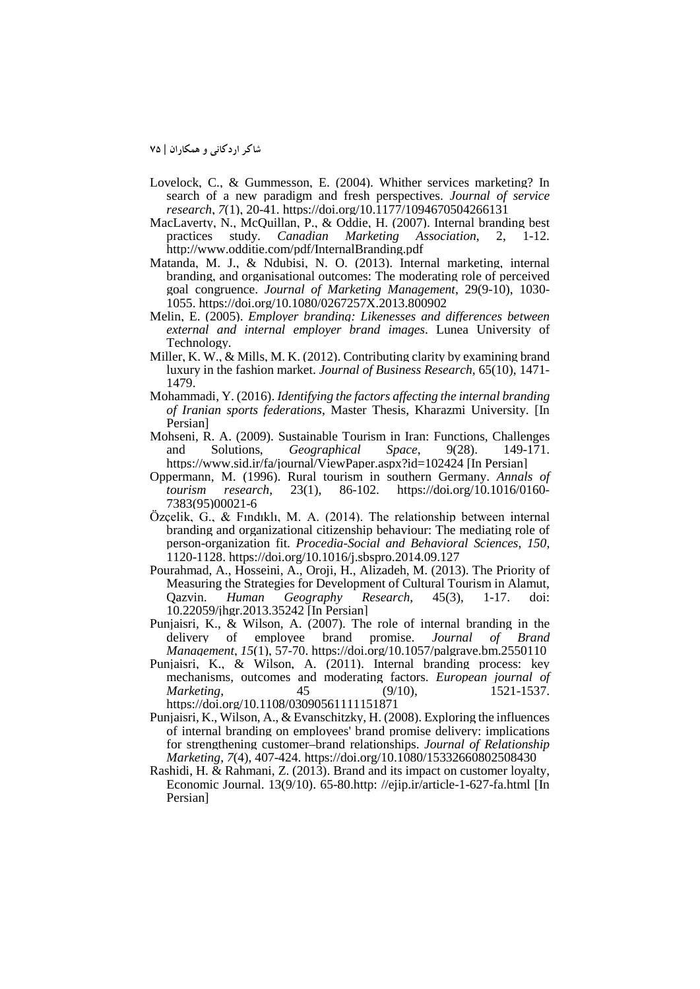**شاکر اردکانی و همکاران | 75**

- Lovelock, C., & Gummesson, E. (2004). Whither services marketing? In search of a new paradigm and fresh perspectives. *Journal of service research*, *7*(1), 20-41. https://doi.org/10.1177/1094670504266131
- MacLaverty, N., McQuillan, P., & Oddie, H. (2007). Internal branding best practices study. Canadian Marketing Association, 2, 1-12. practices study. *Canadian* http://www.odditie.com/pdf/InternalBranding.pdf
- Matanda, M. J., & Ndubisi, N. O. (2013). Internal marketing, internal branding, and organisational outcomes: The moderating role of perceived goal congruence. *Journal of Marketing Management*, 29(9-10), 1030- 1055. https://doi.org/10.1080/0267257X.2013.800902
- Melin, E. (2005). *Employer branding: Likenesses and differences between external and internal employer brand images*. Lunea University of Technology.
- Miller, K. W., & Mills, M. K. (2012). Contributing clarity by examining brand luxury in the fashion market. *Journal of Business Research*, 65(10), 1471- 1479.
- Mohammadi, Y. (2016). *Identifying the factors affecting the internal branding of Iranian sports federations*, Master Thesis, Kharazmi University. [In Persian]
- Mohseni, R. A. (2009). Sustainable Tourism in Iran: Functions, Challenges and Solutions, *Geographical Space*, 9(28). 149-171. https://www.sid.ir/fa/journal/ViewPaper.aspx?id=102424 [In Persian]
- Oppermann, M. (1996). Rural tourism in southern Germany. *Annals of tourism research*, 23(1), 86-102. https://doi.org/10.1016/0160- 7383(95)00021-6
- Özçelik, G., & Fındıklı, M. A. (2014). The relationship between internal branding and organizational citizenship behaviour: The mediating role of person-organization fit. *Procedia-Social and Behavioral Sciences*, *150*, 1120-1128. https://doi.org/10.1016/j.sbspro.2014.09.127
- Pourahmad, A., Hosseini, A., Oroji, H., Alizadeh, M. (2013). The Priority of Measuring the Strategies for Development of Cultural Tourism in Alamut,<br>Qazvin. Human Geography Research, 45(3), 1-17. doi: Qazvin. *Human Geography Research*, 45(3), 1-17. doi: 10.22059/jhgr.2013.35242 [In Persian]
- Punjaisri, K., & Wilson, A. (2007). The role of internal branding in the delivery of employee brand promise. *Journal of Brand* delivery of employee brand promise. *Journal of Brand Management*, *15*(1), 57-70. https://doi.org/10.1057/palgrave.bm.2550110
- Punjaisri, K., & Wilson, A. (2011). Internal branding process: key mechanisms, outcomes and moderating factors. *European journal of Marketing*, 45 (9/10), 1521-1537. https://doi.org/10.1108/03090561111151871
- Punjaisri, K., Wilson, A., & Evanschitzky, H. (2008). Exploring the influences of internal branding on employees' brand promise delivery: implications for strengthening customer–brand relationships. *Journal of Relationship Marketing*, *7*(4), 407-424. https://doi.org/10.1080/15332660802508430
- Rashidi, H. & Rahmani, Z. (2013). Brand and its impact on customer loyalty, Economic Journal. 13(9/10). 65-80.http: //ejip.ir/article-1-627-fa.html [In Persian]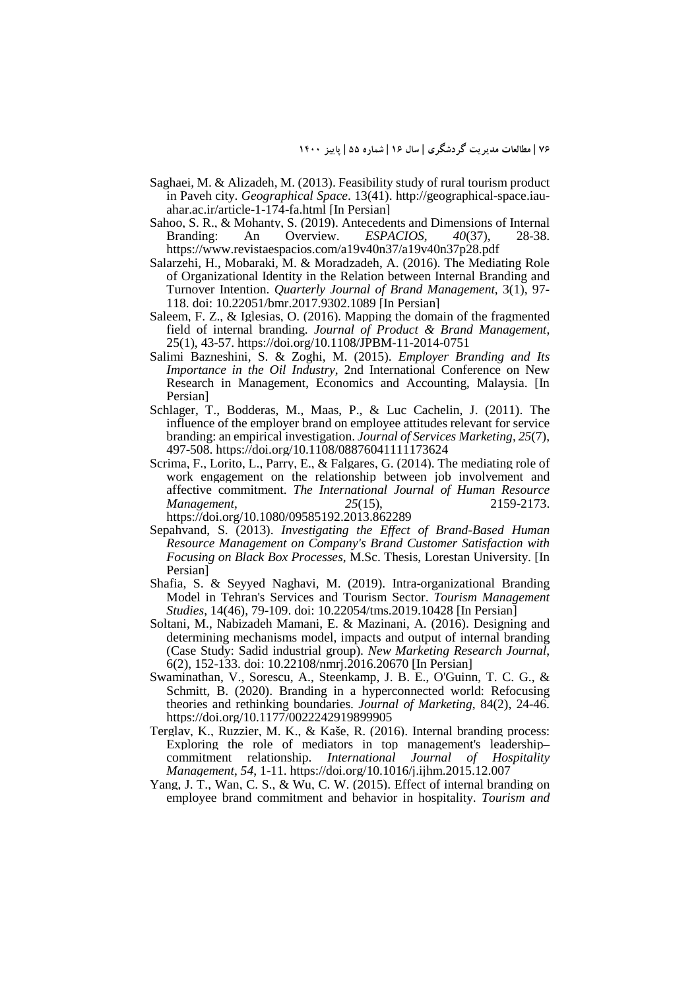- Saghaei, M. & Alizadeh, M. (2013). Feasibility study of rural tourism product in Paveh city. *Geographical Space*. 13(41). http://geographical-space.iauahar.ac.ir/article-1-174-fa.html [In Persian]
- Sahoo, S. R., & Mohanty, S. (2019). Antecedents and Dimensions of Internal Branding: An Overview. *ESPACIOS*, 40(37), 28-38.  $ESPACIOS,$ https://www.revistaespacios.com/a19v40n37/a19v40n37p28.pdf
- Salarzehi, H., Mobaraki, M. & Moradzadeh, A. (2016). The Mediating Role of Organizational Identity in the Relation between Internal Branding and Turnover Intention. *Quarterly Journal of Brand Management*, 3(1), 97- 118. doi: 10.22051/bmr.2017.9302.1089 [In Persian]
- Saleem, F. Z., & Iglesias, O. (2016). Mapping the domain of the fragmented field of internal branding. *Journal of Product & Brand Management*, 25(1), 43-57. https://doi.org/10.1108/JPBM-11-2014-0751
- Salimi Bazneshini, S. & Zoghi, M. (2015). *Employer Branding and Its Importance in the Oil Industry*, 2nd International Conference on New Research in Management, Economics and Accounting, Malaysia. [In Persian]
- Schlager, T., Bodderas, M., Maas, P., & Luc Cachelin, J. (2011). The influence of the employer brand on employee attitudes relevant for service branding: an empirical investigation. *Journal of Services Marketing*, *25*(7), 497-508. https://doi.org/10.1108/08876041111173624
- Scrima, F., Lorito, L., Parry, E., & Falgares, G. (2014). The mediating role of work engagement on the relationship between job involvement and affective commitment. *The International Journal of Human Resource Management*, *25*(15), 2159-2173. https://doi.org/10.1080/09585192.2013.862289
- Sepahvand, S. (2013). *Investigating the Effect of Brand-Based Human Resource Management on Company's Brand Customer Satisfaction with Focusing on Black Box Processes*, M.Sc. Thesis, Lorestan University. [In Persian]
- Shafia, S. & Seyyed Naghavi, M. (2019). Intra-organizational Branding Model in Tehran's Services and Tourism Sector. *Tourism Management Studies*, 14(46), 79-109. doi: 10.22054/tms.2019.10428 [In Persian]
- Soltani, M., Nabizadeh Mamani, E. & Mazinani, A. (2016). Designing and determining mechanisms model, impacts and output of internal branding (Case Study: Sadid industrial group). *New Marketing Research Journal*, 6(2), 152-133. doi: 10.22108/nmrj.2016.20670 [In Persian]
- Swaminathan, V., Sorescu, A., Steenkamp, J. B. E., O'Guinn, T. C. G., & Schmitt, B. (2020). Branding in a hyperconnected world: Refocusing theories and rethinking boundaries. *Journal of Marketing*, 84(2), 24-46. https://doi.org/10.1177/0022242919899905
- Terglav, K., Ruzzier, M. K., & Kaše, R. (2016). Internal branding process: Exploring the role of mediators in top management's leadership– commitment relationship. *International Journal of Hospitality Management*, *54*, 1-11. https://doi.org/10.1016/j.ijhm.2015.12.007
- Yang, J. T., Wan, C. S., & Wu, C. W. (2015). Effect of internal branding on employee brand commitment and behavior in hospitality. *Tourism and*